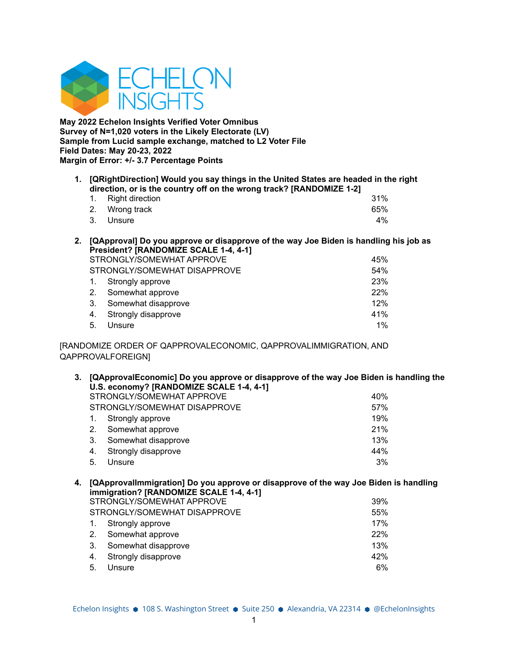

**May 2022 Echelon Insights Verified Voter Omnibus Survey of N=1,020 voters in the Likely Electorate (LV) Sample from Lucid sample exchange, matched to L2 Voter File Field Dates: May 20-23, 2022 Margin of Error: +/- 3.7 Percentage Points**

**1. [QRightDirection] Would you say things in the United States are headed in the right direction, or is the country off on the wrong track? [RANDOMIZE 1-2]**

| 1. Right direction |  |  | 31% |
|--------------------|--|--|-----|
| 2. Wrong track     |  |  | 65% |
| 3. Unsure          |  |  | 4%  |

**2. [QApproval] Do you approve or disapprove of the way Joe Biden is handling his job as President? [RANDOMIZE SCALE 1-4, 4-1]**

| STRONGLY/SOMEWHAT APPROVE |                              |       |  |  |
|---------------------------|------------------------------|-------|--|--|
|                           | STRONGLY/SOMEWHAT DISAPPROVE | 54%   |  |  |
|                           | 1. Strongly approve          | 23%   |  |  |
|                           | 2. Somewhat approve          | 22%   |  |  |
| 3.                        | Somewhat disapprove          | 12%   |  |  |
|                           | 4. Strongly disapprove       | 41%   |  |  |
| 5.                        | Unsure                       | $1\%$ |  |  |

[RANDOMIZE ORDER OF QAPPROVALECONOMIC, QAPPROVALIMMIGRATION, AND QAPPROVALFOREIGN]

| 3.             | [QApprovalEconomic] Do you approve or disapprove of the way Joe Biden is handling the |                                                                                              |     |  |  |  |  |
|----------------|---------------------------------------------------------------------------------------|----------------------------------------------------------------------------------------------|-----|--|--|--|--|
|                | U.S. economy? [RANDOMIZE SCALE 1-4, 4-1]                                              |                                                                                              |     |  |  |  |  |
|                |                                                                                       | STRONGLY/SOMEWHAT APPROVE                                                                    | 40% |  |  |  |  |
|                |                                                                                       | STRONGLY/SOMEWHAT DISAPPROVE                                                                 | 57% |  |  |  |  |
|                | 1.                                                                                    | Strongly approve                                                                             | 19% |  |  |  |  |
|                | $2_{\cdot}$                                                                           | Somewhat approve                                                                             | 21% |  |  |  |  |
|                | 3.                                                                                    | Somewhat disapprove                                                                          | 13% |  |  |  |  |
|                | 4.                                                                                    | Strongly disapprove                                                                          | 44% |  |  |  |  |
|                | 5.                                                                                    | Unsure                                                                                       | 3%  |  |  |  |  |
|                |                                                                                       |                                                                                              |     |  |  |  |  |
| $\overline{ }$ |                                                                                       | <u>IOAnnrovallmmigration1 Do vou annrovo or dicannrovo of the way. Loo Bidon is bandling</u> |     |  |  |  |  |

**4. [QApprovalImmigration] Do you approve or disapprove of the way Joe Biden is handling immigration? [RANDOMIZE SCALE 1-4, 4-1]** STRONGLY/SOMEWHAT APPROVE **1999** 39% STRONGLY/SOMEWHAT DISAPPROVE **FOUND 1999** 55% 1. Strongly approve 17% 2. Somewhat approve 22% 3. Somewhat disapprove 13% 4. Strongly disapprove 42% 5. Unsure 6%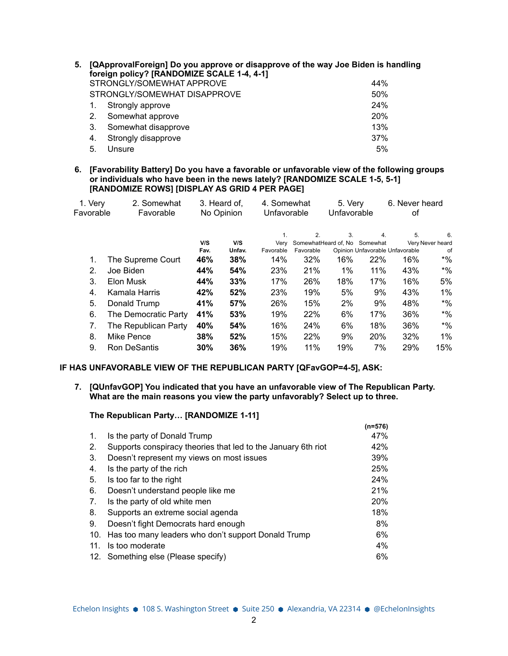| 5. | [QApprovalForeign] Do you approve or disapprove of the way Joe Biden is handling<br>foreign policy? [RANDOMIZE SCALE 1-4, 4-1] |                              |     |  |  |  |
|----|--------------------------------------------------------------------------------------------------------------------------------|------------------------------|-----|--|--|--|
|    |                                                                                                                                | STRONGLY/SOMEWHAT APPROVE    | 44% |  |  |  |
|    |                                                                                                                                | STRONGLY/SOMEWHAT DISAPPROVE | 50% |  |  |  |
|    |                                                                                                                                | Strongly approve             | 24% |  |  |  |
|    | 2.                                                                                                                             | Somewhat approve             | 20% |  |  |  |
|    | 3.                                                                                                                             | Somewhat disapprove          | 13% |  |  |  |
|    | 4.                                                                                                                             | Strongly disapprove          | 37% |  |  |  |
|    | 5.                                                                                                                             | Unsure                       | 5%  |  |  |  |

**6. [Favorability Battery] Do you have a favorable or unfavorable view of the following groups or individuals who have been in the news lately? [RANDOMIZE SCALE 1-5, 5-1] [RANDOMIZE ROWS] [DISPLAY AS GRID 4 PER PAGE]**

| 1. Very   | 2. Somewhat          | 3. Heard of.<br>No Opinion<br>Favorable |        | 4. Somewhat<br>Unfavorable |           | 5. Very<br>Unfavorable |                                 | 6. Never heard<br>оf |                  |
|-----------|----------------------|-----------------------------------------|--------|----------------------------|-----------|------------------------|---------------------------------|----------------------|------------------|
| Favorable |                      |                                         |        |                            |           |                        |                                 |                      |                  |
|           |                      |                                         |        | 1.                         | 2.        | 3.                     | 4.                              | 5.                   | 6.               |
|           |                      | V/S                                     | V/S    | Verv                       |           |                        | SomewhatHeard of, No Somewhat   |                      | Very Never heard |
|           |                      | Fav.                                    | Unfav. | Favorable                  | Favorable |                        | Opinion Unfavorable Unfavorable |                      | of               |
| 1.        | The Supreme Court    | 46%                                     | 38%    | 14%                        | 32%       | 16%                    | 22%                             | 16%                  | $*$ %            |
| 2.        | Joe Biden            | 44%                                     | 54%    | 23%                        | 21%       | $1\%$                  | 11%                             | 43%                  | $*$ %            |
| 3.        | Elon Musk            | 44%                                     | 33%    | 17%                        | 26%       | 18%                    | 17%                             | 16%                  | 5%               |
| 4.        | Kamala Harris        | 42%                                     | 52%    | 23%                        | 19%       | 5%                     | 9%                              | 43%                  | $1\%$            |
| 5.        | Donald Trump         | 41%                                     | 57%    | 26%                        | 15%       | 2%                     | 9%                              | 48%                  | $*$ %            |
| 6.        | The Democratic Party | 41%                                     | 53%    | 19%                        | 22%       | 6%                     | 17%                             | 36%                  | $*$ %            |
| 7.        | The Republican Party | 40%                                     | 54%    | 16%                        | 24%       | 6%                     | 18%                             | 36%                  | $*$ %            |
| 8.        | Mike Pence           | 38%                                     | 52%    | 15%                        | 22%       | 9%                     | 20%                             | 32%                  | $1\%$            |
| 9.        | Ron DeSantis         | 30%                                     | 36%    | 19%                        | 11%       | 19%                    | 7%                              | 29%                  | 15%              |

#### **IF HAS UNFAVORABLE VIEW OF THE REPUBLICAN PARTY [QFavGOP=4-5], ASK:**

#### **7. [QUnfavGOP] You indicated that you have an unfavorable view of The Republican Party. What are the main reasons you view the party unfavorably? Select up to three.**

#### **The Republican Party… [RANDOMIZE 1-11]**

|                |                                                               | $(n=576)$  |
|----------------|---------------------------------------------------------------|------------|
| $\mathbf{1}$ . | Is the party of Donald Trump                                  | 47%        |
| 2.             | Supports conspiracy theories that led to the January 6th riot | 42%        |
| 3.             | Doesn't represent my views on most issues                     | 39%        |
| 4.             | Is the party of the rich                                      | 25%        |
| 5.             | Is too far to the right                                       | 24%        |
| 6.             | Doesn't understand people like me                             | 21%        |
| 7.             | Is the party of old white men                                 | <b>20%</b> |
| 8.             | Supports an extreme social agenda                             | 18%        |
| 9.             | Doesn't fight Democrats hard enough                           | 8%         |
| 10.            | Has too many leaders who don't support Donald Trump           | 6%         |
| 11.            | Is too moderate                                               | $4\%$      |
|                | 12. Something else (Please specify)                           | 6%         |
|                |                                                               |            |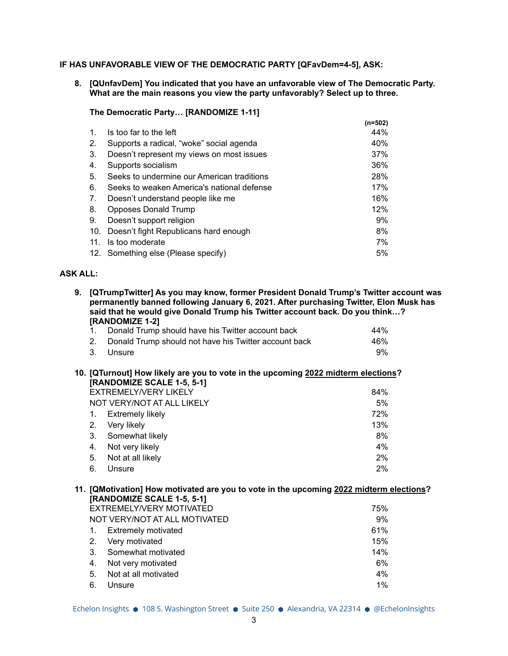## **IF HAS UNFAVORABLE VIEW OF THE DEMOCRATIC PARTY [QFavDem=4-5], ASK:**

**8. [QUnfavDem] You indicated that you have an unfavorable view of The Democratic Party. What are the main reasons you view the party unfavorably? Select up to three.**

#### **The Democratic Party… [RANDOMIZE 1-11]**

|                |                                            | $(n=502)$ |
|----------------|--------------------------------------------|-----------|
| $\mathbf{1}$ . | Is too far to the left                     | 44%       |
| 2.             | Supports a radical, "woke" social agenda   | 40%       |
| 3.             | Doesn't represent my views on most issues  | 37%       |
| 4.             | Supports socialism                         | 36%       |
| 5.             | Seeks to undermine our American traditions | 28%       |
| 6.             | Seeks to weaken America's national defense | 17%       |
| 7.             | Doesn't understand people like me          | 16%       |
| 8.             | Opposes Donald Trump                       | 12%       |
| 9.             | Doesn't support religion                   | 9%        |
| 10.            | Doesn't fight Republicans hard enough      | 8%        |
| .11            | Is too moderate                            | 7%        |
|                | 12. Something else (Please specify)        | 5%        |
|                |                                            |           |

# **ASK ALL:**

| 9. | [QTrumpTwitter] As you may know, former President Donald Trump's Twitter account was<br>permanently banned following January 6, 2021. After purchasing Twitter, Elon Musk has<br>said that he would give Donald Trump his Twitter account back. Do you think?<br>[RANDOMIZE 1-2] |                                                                                                                       |     |  |  |  |  |
|----|----------------------------------------------------------------------------------------------------------------------------------------------------------------------------------------------------------------------------------------------------------------------------------|-----------------------------------------------------------------------------------------------------------------------|-----|--|--|--|--|
|    | $1_{-}$                                                                                                                                                                                                                                                                          | Donald Trump should have his Twitter account back                                                                     | 44% |  |  |  |  |
|    | 2.                                                                                                                                                                                                                                                                               | Donald Trump should not have his Twitter account back                                                                 | 46% |  |  |  |  |
|    | 3.                                                                                                                                                                                                                                                                               | Unsure                                                                                                                | 9%  |  |  |  |  |
|    |                                                                                                                                                                                                                                                                                  | 10. [QTurnout] How likely are you to vote in the upcoming 2022 midterm elections?<br>[RANDOMIZE SCALE 1-5, 5-1]       |     |  |  |  |  |
|    |                                                                                                                                                                                                                                                                                  | <b>EXTREMELY/VERY LIKELY</b>                                                                                          | 84% |  |  |  |  |
|    |                                                                                                                                                                                                                                                                                  | NOT VERY/NOT AT ALL LIKELY                                                                                            | 5%  |  |  |  |  |
|    | 1.                                                                                                                                                                                                                                                                               | <b>Extremely likely</b>                                                                                               | 72% |  |  |  |  |
|    | 2.                                                                                                                                                                                                                                                                               | Very likely                                                                                                           | 13% |  |  |  |  |
|    | 3.                                                                                                                                                                                                                                                                               | Somewhat likely                                                                                                       | 8%  |  |  |  |  |
|    | 4.                                                                                                                                                                                                                                                                               | Not very likely                                                                                                       | 4%  |  |  |  |  |
|    | 5.                                                                                                                                                                                                                                                                               | Not at all likely                                                                                                     | 2%  |  |  |  |  |
|    | 6.                                                                                                                                                                                                                                                                               | Unsure                                                                                                                | 2%  |  |  |  |  |
|    |                                                                                                                                                                                                                                                                                  | 11. [QMotivation] How motivated are you to vote in the upcoming 2022 midterm elections?<br>[RANDOMIZE SCALE 1-5, 5-1] |     |  |  |  |  |
|    |                                                                                                                                                                                                                                                                                  | EXTREMELY/VERY MOTIVATED                                                                                              | 75% |  |  |  |  |
|    |                                                                                                                                                                                                                                                                                  | NOT VERY/NOT AT ALL MOTIVATED                                                                                         | 9%  |  |  |  |  |
|    | $1_{-}$                                                                                                                                                                                                                                                                          | <b>Extremely motivated</b>                                                                                            | 61% |  |  |  |  |
|    | 2.                                                                                                                                                                                                                                                                               | Very motivated                                                                                                        | 15% |  |  |  |  |
|    | 3.                                                                                                                                                                                                                                                                               | Somewhat motivated                                                                                                    | 14% |  |  |  |  |
|    | 4.                                                                                                                                                                                                                                                                               | Not very motivated                                                                                                    | 6%  |  |  |  |  |

Echelon Insights ● 108 S. Washington Street ● Suite 250 ● Alexandria, VA 22314 ● @EchelonInsights

5. Not at all motivated 4% 6. Unsure 1%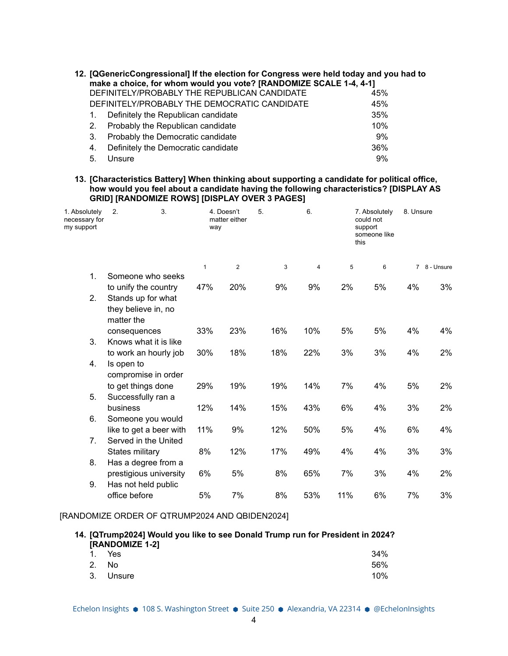| 12. [QGenericCongressional] If the election for Congress were held today and you had to<br>make a choice, for whom would you vote? [RANDOMIZE SCALE 1-4, 4-1] |                |                                              |     |  |  |
|---------------------------------------------------------------------------------------------------------------------------------------------------------------|----------------|----------------------------------------------|-----|--|--|
|                                                                                                                                                               |                | DEFINITELY/PROBABLY THE REPUBLICAN CANDIDATE | 45% |  |  |
|                                                                                                                                                               |                | DEFINITELY/PROBABLY THE DEMOCRATIC CANDIDATE | 45% |  |  |
|                                                                                                                                                               | 1.             | Definitely the Republican candidate          | 35% |  |  |
|                                                                                                                                                               | 2 <sub>1</sub> | Probably the Republican candidate            | 10% |  |  |
|                                                                                                                                                               | 3.             | Probably the Democratic candidate            | 9%  |  |  |
|                                                                                                                                                               | 4.             | Definitely the Democratic candidate          | 36% |  |  |
|                                                                                                                                                               | 5.             | Unsure                                       | 9%  |  |  |

**13. [Characteristics Battery] When thinking about supporting a candidate for political office, how would you feel about a candidate having the following characteristics? [DISPLAY AS GRID] [RANDOMIZE ROWS] [DISPLAY OVER 3 PAGES]**

| 1. Absolutely<br>necessary for<br>my support | 3.<br>2.                                                | 4. Doesn't<br>matter either<br>way |                | 6.<br>5. |        |     | 7. Absolutely<br>could not<br>support<br>someone like<br>this |    | 8. Unsure    |  |
|----------------------------------------------|---------------------------------------------------------|------------------------------------|----------------|----------|--------|-----|---------------------------------------------------------------|----|--------------|--|
|                                              |                                                         | $\mathbf{1}$                       | $\overline{2}$ |          | 3<br>4 | 5   | 6                                                             |    | 7 8 - Unsure |  |
| $\mathbf{1}$ .                               | Someone who seeks                                       |                                    |                |          |        |     |                                                               |    |              |  |
|                                              | to unify the country                                    | 47%                                | 20%            | 9%       | 9%     | 2%  | 5%                                                            | 4% | 3%           |  |
| 2.                                           | Stands up for what<br>they believe in, no<br>matter the |                                    |                |          |        |     |                                                               |    |              |  |
|                                              | consequences                                            | 33%                                | 23%            | 16%      | 10%    | 5%  | 5%                                                            | 4% | 4%           |  |
| 3.                                           | Knows what it is like                                   |                                    |                |          |        |     |                                                               |    |              |  |
|                                              | to work an hourly job                                   | 30%                                | 18%            | 18%      | 22%    | 3%  | 3%                                                            | 4% | 2%           |  |
| 4.                                           | Is open to<br>compromise in order                       |                                    |                |          |        |     |                                                               |    |              |  |
|                                              | to get things done                                      | 29%                                | 19%            | 19%      | 14%    | 7%  | 4%                                                            | 5% | 2%           |  |
| 5.                                           | Successfully ran a                                      |                                    |                |          |        |     |                                                               |    |              |  |
|                                              | business                                                | 12%                                | 14%            | 15%      | 43%    | 6%  | 4%                                                            | 3% | 2%           |  |
| 6.                                           | Someone you would                                       |                                    |                |          |        |     |                                                               |    |              |  |
|                                              | like to get a beer with                                 | 11%                                | 9%             | 12%      | 50%    | 5%  | 4%                                                            | 6% | 4%           |  |
| 7 <sub>1</sub>                               | Served in the United                                    |                                    |                |          |        |     |                                                               |    |              |  |
| 8.                                           | States military                                         | 8%                                 | 12%            | 17%      | 49%    | 4%  | 4%                                                            | 3% | 3%           |  |
|                                              | Has a degree from a<br>prestigious university           | 6%                                 | 5%             | 8%       | 65%    | 7%  | 3%                                                            | 4% | 2%           |  |
| 9.                                           | Has not held public                                     |                                    |                |          |        |     |                                                               |    |              |  |
|                                              | office before                                           | 5%                                 | 7%             | 8%       | 53%    | 11% | 6%                                                            | 7% | 3%           |  |

#### [RANDOMIZE ORDER OF QTRUMP2024 AND QBIDEN2024]

|        | 14. [QTrump2024] Would you like to see Donald Trump run for President in 2024? |     |
|--------|--------------------------------------------------------------------------------|-----|
| 1. Yes | <b>[RANDOMIZE 1-2]</b>                                                         | 34% |
| 2 No.  |                                                                                | 56% |

3. Unsure 10%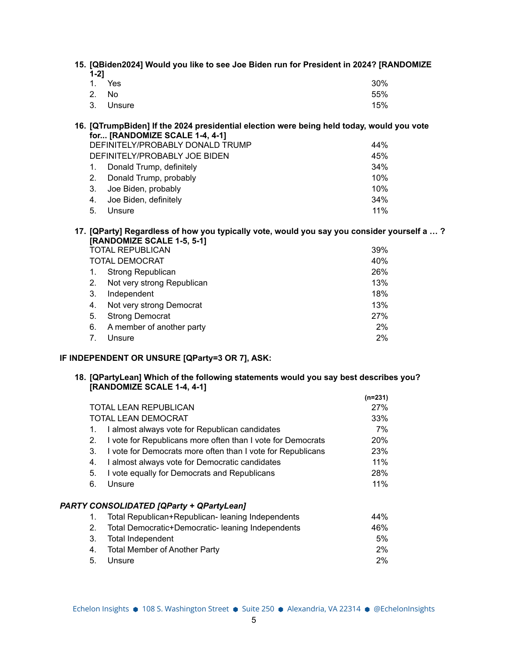|          | 15. [QBiden2024] Would you like to see Joe Biden run for President in 2024? [RANDOMIZE |  |  |  |
|----------|----------------------------------------------------------------------------------------|--|--|--|
| - 4 - 21 |                                                                                        |  |  |  |

| 1. Yes    | 30% |
|-----------|-----|
| 2. No     | 55% |
| 3. Unsure | 15% |
|           |     |

**16. [QTrumpBiden] If the 2024 presidential election were being held today, would you vote for... [RANDOMIZE SCALE 1-4, 4-1]** DEFINITELY/PROBABLY DONALD TRUMP 44% DEFINITELY/PROBABLY JOE BIDEN 45% 1. Donald Trump, definitely 34% 2. Donald Trump, probably 10%

3. Joe Biden, probably 10% 4. Joe Biden, definitely 34% 5. Unsure 11%

**17. [QParty] Regardless of how you typically vote, would you say you consider yourself a … ? [RANDOMIZE SCALE 1-5, 5-1]**

| <b>TOTAL DEMOCRAT</b><br><b>Strong Republican</b><br>$\mathbf{1}$ .<br>Not very strong Republican<br>2.<br>3.<br>Independent<br>Not very strong Democrat<br>4.<br><b>Strong Democrat</b><br>5.<br>A member of another party<br>6.<br>Unsure<br>7. | <b>TOTAL REPUBLICAN</b> |  | 39% |
|---------------------------------------------------------------------------------------------------------------------------------------------------------------------------------------------------------------------------------------------------|-------------------------|--|-----|
|                                                                                                                                                                                                                                                   |                         |  | 40% |
|                                                                                                                                                                                                                                                   |                         |  | 26% |
|                                                                                                                                                                                                                                                   |                         |  | 13% |
|                                                                                                                                                                                                                                                   |                         |  | 18% |
|                                                                                                                                                                                                                                                   |                         |  | 13% |
|                                                                                                                                                                                                                                                   |                         |  | 27% |
|                                                                                                                                                                                                                                                   |                         |  | 2%  |
|                                                                                                                                                                                                                                                   |                         |  | 2%  |

## **IF INDEPENDENT OR UNSURE [QParty=3 OR 7], ASK:**

#### **18. [QPartyLean] Which of the following statements would you say best describes you? [RANDOMIZE SCALE 1-4, 4-1]**

|                                                             | $(n=231)$                                                                                                                                                   |
|-------------------------------------------------------------|-------------------------------------------------------------------------------------------------------------------------------------------------------------|
|                                                             | 27%                                                                                                                                                         |
|                                                             | 33%                                                                                                                                                         |
| I almost always vote for Republican candidates              | 7%                                                                                                                                                          |
| I vote for Republicans more often than I vote for Democrats | <b>20%</b>                                                                                                                                                  |
| I vote for Democrats more often than I vote for Republicans | 23%                                                                                                                                                         |
| I almost always vote for Democratic candidates              | 11%                                                                                                                                                         |
| I vote equally for Democrats and Republicans                | 28%                                                                                                                                                         |
| Unsure                                                      | 11%                                                                                                                                                         |
|                                                             |                                                                                                                                                             |
| Total Republican+Republican- leaning Independents           | 44%                                                                                                                                                         |
| Total Democratic+Democratic- leaning Independents           | 46%                                                                                                                                                         |
| <b>Total Independent</b>                                    | 5%                                                                                                                                                          |
| <b>Total Member of Another Party</b>                        | 2%                                                                                                                                                          |
| Unsure                                                      | 2%                                                                                                                                                          |
| 5.                                                          | TOTAL LEAN REPUBLICAN<br>TOTAL LEAN DEMOCRAT<br>1.<br>2.<br>3.<br>4.<br>5.<br>6.<br><b>PARTY CONSOLIDATED [QParty + QPartyLean]</b><br>1.<br>2.<br>3.<br>4. |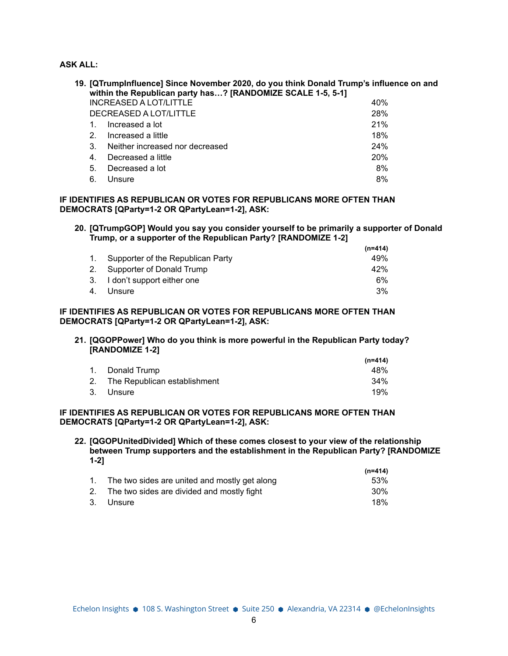**ASK ALL:**

| 19. [QTrumpInfluence] Since November 2020, do you think Donald Trump's influence on and<br>within the Republican party has? [RANDOMIZE SCALE 1-5, 5-1] |                                 |            |
|--------------------------------------------------------------------------------------------------------------------------------------------------------|---------------------------------|------------|
|                                                                                                                                                        | <b>INCREASED A LOT/LITTLE</b>   | 40%        |
|                                                                                                                                                        | DECREASED A LOT/LITTLE          | 28%        |
|                                                                                                                                                        | Increased a lot                 | 21%        |
| 2.                                                                                                                                                     | Increased a little              | 18%        |
| 3.                                                                                                                                                     | Neither increased nor decreased | 24%        |
| $\overline{4}$                                                                                                                                         | Decreased a little              | <b>20%</b> |
| 5.                                                                                                                                                     | Decreased a lot                 | 8%         |
| 6.                                                                                                                                                     | Unsure                          | 8%         |

## **IF IDENTIFIES AS REPUBLICAN OR VOTES FOR REPUBLICANS MORE OFTEN THAN DEMOCRATS [QParty=1-2 OR QPartyLean=1-2], ASK:**

**20. [QTrumpGOP] Would you say you consider yourself to be primarily a supporter of Donald Trump, or a supporter of the Republican Party? [RANDOMIZE 1-2]**

|                                      | $(n=414)$ |
|--------------------------------------|-----------|
| 1. Supporter of the Republican Party | 49%       |
| 2. Supporter of Donald Trump         | 42%       |
| 3. I don't support either one        | 6%        |
| 4. Unsure                            | $3\%$     |
|                                      |           |

## **IF IDENTIFIES AS REPUBLICAN OR VOTES FOR REPUBLICANS MORE OFTEN THAN DEMOCRATS [QParty=1-2 OR QPartyLean=1-2], ASK:**

**21. [QGOPPower] Who do you think is more powerful in the Republican Party today? [RANDOMIZE 1-2]**

|                                 | $(n=414)$ |
|---------------------------------|-----------|
| 1. Donald Trump                 | 48%       |
| 2. The Republican establishment | 34%       |
| 3. Unsure                       | 19%       |

#### **IF IDENTIFIES AS REPUBLICAN OR VOTES FOR REPUBLICANS MORE OFTEN THAN DEMOCRATS [QParty=1-2 OR QPartyLean=1-2], ASK:**

**22. [QGOPUnitedDivided] Which of these comes closest to your view of the relationship between Trump supporters and the establishment in the Republican Party? [RANDOMIZE 1-2] (n=414)**

|                                                  | (n=414) |
|--------------------------------------------------|---------|
| 1. The two sides are united and mostly get along | 53%     |
| 2. The two sides are divided and mostly fight    | 30%     |
| 3. Unsure                                        | 18%     |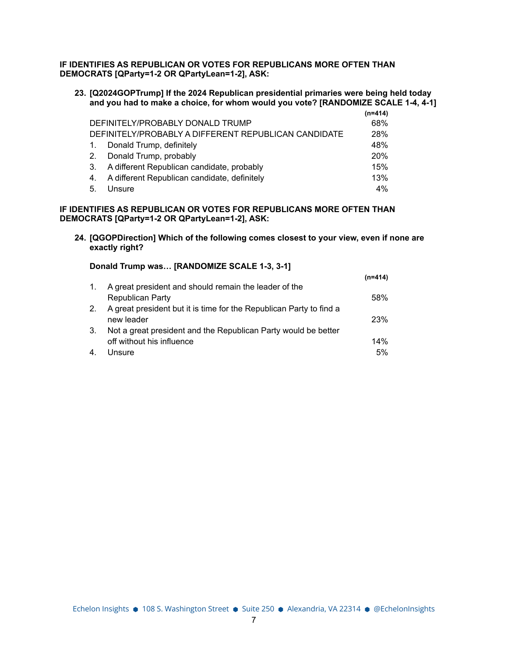#### **IF IDENTIFIES AS REPUBLICAN OR VOTES FOR REPUBLICANS MORE OFTEN THAN DEMOCRATS [QParty=1-2 OR QPartyLean=1-2], ASK:**

#### **23. [Q2024GOPTrump] If the 2024 Republican presidential primaries were being held today and you had to make a choice, for whom would you vote? [RANDOMIZE SCALE 1-4, 4-1]**

|                |                                                      | (n=414) |
|----------------|------------------------------------------------------|---------|
|                | DEFINITELY/PROBABLY DONALD TRUMP                     | 68%     |
|                | DEFINITELY/PROBABLY A DIFFERENT REPUBLICAN CANDIDATE | 28%     |
| $\mathbf{1}$ . | Donald Trump, definitely                             | 48%     |
| 2.             | Donald Trump, probably                               | 20%     |
| 3.             | A different Republican candidate, probably           | 15%     |
| 4 <sup>1</sup> | A different Republican candidate, definitely         | 13%     |
| -5.            | Unsure                                               | 4%      |

#### **IF IDENTIFIES AS REPUBLICAN OR VOTES FOR REPUBLICANS MORE OFTEN THAN DEMOCRATS [QParty=1-2 OR QPartyLean=1-2], ASK:**

**24. [QGOPDirection] Which of the following comes closest to your view, even if none are exactly right?**

**(n=414)**

| Donald Trump was [RANDOMIZE SCALE 1-3, 3-1] |  |
|---------------------------------------------|--|
|                                             |  |

| $1_{\cdot}$    | A great president and should remain the leader of the               |            |
|----------------|---------------------------------------------------------------------|------------|
|                | Republican Party                                                    | 58%        |
| 2 <sub>1</sub> | A great president but it is time for the Republican Party to find a |            |
|                | new leader                                                          | <b>23%</b> |
| 3.             | Not a great president and the Republican Party would be better      |            |
|                | off without his influence                                           | 14%        |
| 4.             | Unsure                                                              | 5%         |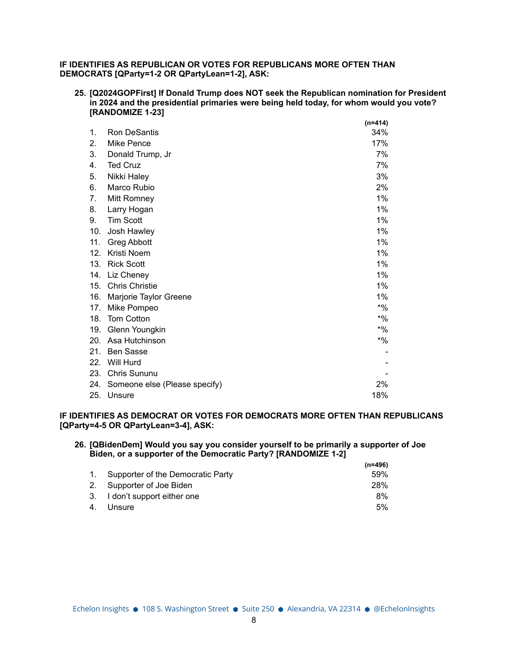#### **IF IDENTIFIES AS REPUBLICAN OR VOTES FOR REPUBLICANS MORE OFTEN THAN DEMOCRATS [QParty=1-2 OR QPartyLean=1-2], ASK:**

**25. [Q2024GOPFirst] If Donald Trump does NOT seek the Republican nomination for President in 2024 and the presidential primaries were being held today, for whom would you vote? [RANDOMIZE 1-23]**

|     |                               | $(n=414)$ |
|-----|-------------------------------|-----------|
| 1.  | <b>Ron DeSantis</b>           | 34%       |
| 2.  | Mike Pence                    | 17%       |
| 3.  | Donald Trump, Jr              | 7%        |
| 4.  | <b>Ted Cruz</b>               | 7%        |
| 5.  | Nikki Haley                   | 3%        |
| 6.  | Marco Rubio                   | 2%        |
| 7.  | Mitt Romney                   | $1\%$     |
| 8.  | Larry Hogan                   | 1%        |
| 9.  | <b>Tim Scott</b>              | 1%        |
| 10. | Josh Hawley                   | 1%        |
| 11. | <b>Greg Abbott</b>            | $1\%$     |
| 12. | Kristi Noem                   | 1%        |
| 13. | <b>Rick Scott</b>             | $1\%$     |
| 14. | Liz Cheney                    | $1\%$     |
| 15. | <b>Chris Christie</b>         | $1\%$     |
| 16. | Marjorie Taylor Greene        | 1%        |
| 17. | Mike Pompeo                   | $*$ %     |
| 18. | <b>Tom Cotton</b>             | $*$ %     |
| 19. | Glenn Youngkin                | $*$ %     |
| 20. | Asa Hutchinson                | $*9/6$    |
| 21. | <b>Ben Sasse</b>              |           |
| 22. | Will Hurd                     |           |
| 23. | Chris Sununu                  |           |
| 24. | Someone else (Please specify) | 2%        |
| 25. | Unsure                        | 18%       |

#### **IF IDENTIFIES AS DEMOCRAT OR VOTES FOR DEMOCRATS MORE OFTEN THAN REPUBLICANS [QParty=4-5 OR QPartyLean=3-4], ASK:**

#### **26. [QBidenDem] Would you say you consider yourself to be primarily a supporter of Joe Biden, or a supporter of the Democratic Party? [RANDOMIZE 1-2]**

|                                      | $(n=496)$ |
|--------------------------------------|-----------|
| 1. Supporter of the Democratic Party | 59%       |
| 2. Supporter of Joe Biden            | 28%       |
| 3. I don't support either one        | 8%        |
| 4. Unsure                            | $5\%$     |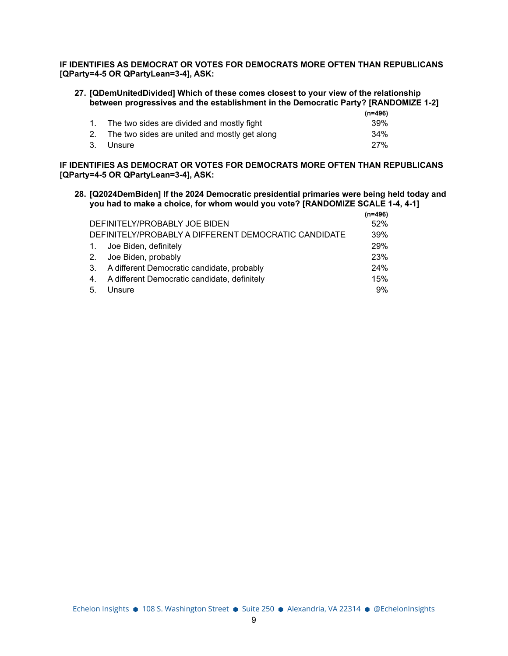**IF IDENTIFIES AS DEMOCRAT OR VOTES FOR DEMOCRATS MORE OFTEN THAN REPUBLICANS [QParty=4-5 OR QPartyLean=3-4], ASK:**

| 27. [QDemUnitedDivided] Which of these comes closest to your view of the relationship |
|---------------------------------------------------------------------------------------|
| between progressives and the establishment in the Democratic Party? [RANDOMIZE 1-2]   |
| $1 - 100$                                                                             |

|                                                  | (n=496)    |
|--------------------------------------------------|------------|
| 1. The two sides are divided and mostly fight    | .39%       |
| 2. The two sides are united and mostly get along | 34%        |
| 3. Unsure                                        | <b>27%</b> |

**IF IDENTIFIES AS DEMOCRAT OR VOTES FOR DEMOCRATS MORE OFTEN THAN REPUBLICANS [QParty=4-5 OR QPartyLean=3-4], ASK:**

**28. [Q2024DemBiden] If the 2024 Democratic presidential primaries were being held today and you had to make a choice, for whom would you vote? [RANDOMIZE SCALE 1-4, 4-1]**

|    |                                                      | $(n=496)$ |
|----|------------------------------------------------------|-----------|
|    | DEFINITELY/PROBABLY JOE BIDEN                        | 52%       |
|    | DEFINITELY/PROBABLY A DIFFERENT DEMOCRATIC CANDIDATE | 39%       |
|    | 1. Joe Biden, definitely                             | 29%       |
|    | 2. Joe Biden, probably                               | 23%       |
|    | 3. A different Democratic candidate, probably        | 24%       |
| 4. | A different Democratic candidate, definitely         | 15%       |
| 5. | Unsure                                               | 9%        |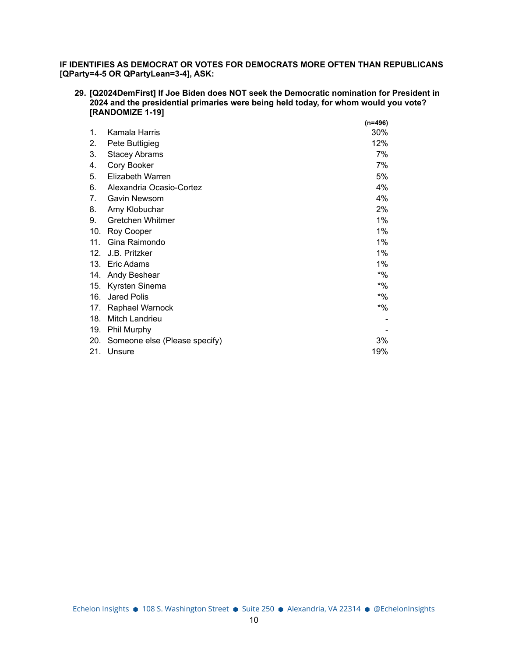**IF IDENTIFIES AS DEMOCRAT OR VOTES FOR DEMOCRATS MORE OFTEN THAN REPUBLICANS [QParty=4-5 OR QPartyLean=3-4], ASK:**

**29. [Q2024DemFirst] If Joe Biden does NOT seek the Democratic nomination for President in 2024 and the presidential primaries were being held today, for whom would you vote? [RANDOMIZE 1-19]**

**(n=496)**

|                                |                               | (11–490) |
|--------------------------------|-------------------------------|----------|
| 1.                             | Kamala Harris                 | 30%      |
| 2.                             | Pete Buttigieg                | 12%      |
| 3.                             | <b>Stacey Abrams</b>          | 7%       |
| 4.                             | Cory Booker                   | 7%       |
| 5.                             | Elizabeth Warren              | 5%       |
| 6.                             | Alexandria Ocasio-Cortez      | 4%       |
| $7_{\scriptscriptstyle{\sim}}$ | Gavin Newsom                  | 4%       |
| 8.                             | Amy Klobuchar                 | 2%       |
| 9.                             | <b>Gretchen Whitmer</b>       | 1%       |
| 10.                            | Roy Cooper                    | $1\%$    |
| 11.                            | Gina Raimondo                 | 1%       |
| 12.                            | J.B. Pritzker                 | $1\%$    |
| 13.                            | Eric Adams                    | $1\%$    |
| 14.                            | Andy Beshear                  | $*$ %    |
| 15.                            | Kyrsten Sinema                | $*$ %    |
| 16.                            | Jared Polis                   | $*$ %    |
| 17.                            | Raphael Warnock               | $*9/6$   |
| 18.                            | Mitch Landrieu                |          |
| 19.                            | Phil Murphy                   |          |
| 20.                            | Someone else (Please specify) | 3%       |
| 21.                            | Unsure                        | 19%      |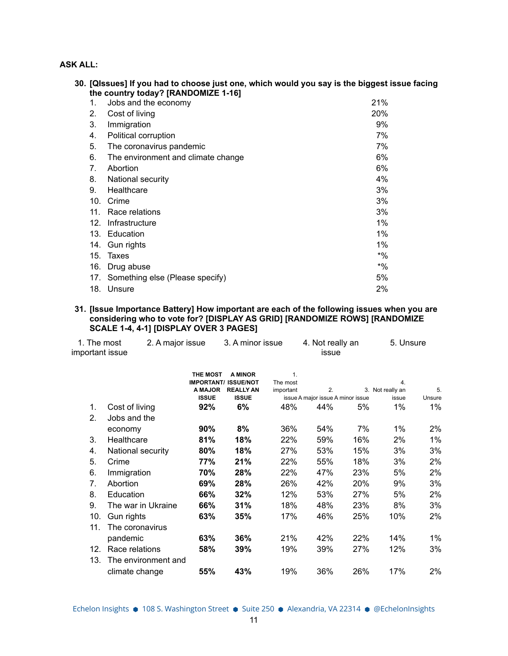## **ASK ALL:**

|     | 30. [QIssues] If you had to choose just one, which would you say is the biggest issue facing |            |
|-----|----------------------------------------------------------------------------------------------|------------|
|     | the country today? [RANDOMIZE 1-16]                                                          |            |
| 1.  | Jobs and the economy                                                                         | 21%        |
| 2.  | Cost of living                                                                               | <b>20%</b> |
| 3.  | Immigration                                                                                  | 9%         |
| 4.  | Political corruption                                                                         | 7%         |
| 5.  | The coronavirus pandemic                                                                     | 7%         |
| 6.  | The environment and climate change                                                           | 6%         |
| 7.  | Abortion                                                                                     | 6%         |
| 8.  | National security                                                                            | 4%         |
| 9.  | Healthcare                                                                                   | 3%         |
| 10. | Crime                                                                                        | 3%         |
| 11. | Race relations                                                                               | 3%         |
| 12. | Infrastructure                                                                               | 1%         |
|     | 13. Education                                                                                | $1\%$      |
|     | 14. Gun rights                                                                               | $1\%$      |
| 15. | Taxes                                                                                        | $*9/0$     |
| 16. | Drug abuse                                                                                   | $*9/0$     |
| 17. | Something else (Please specify)                                                              | 5%         |
| 18. | Unsure                                                                                       | 2%         |

#### **31. [Issue Importance Battery] How important are each of the following issues when you are considering who to vote for? [DISPLAY AS GRID] [RANDOMIZE ROWS] [RANDOMIZE SCALE 1-4, 4-1] [DISPLAY OVER 3 PAGES]**

| 1. The most<br>important issue | 2. A major issue    | 3. A minor issue                     |                                    | 4. Not really an<br>issue |                                   | 5. Unsure |                  |        |
|--------------------------------|---------------------|--------------------------------------|------------------------------------|---------------------------|-----------------------------------|-----------|------------------|--------|
|                                |                     | <b>THE MOST</b><br><b>IMPORTANT/</b> | <b>A MINOR</b><br><b>ISSUE/NOT</b> | 1.<br>The most            |                                   |           | 4.               |        |
|                                |                     | A MAJOR                              | <b>REALLY AN</b>                   | important                 | 2.                                |           | 3. Not really an | 5.     |
|                                |                     | <b>ISSUE</b>                         | <b>ISSUE</b>                       |                           | issue A major issue A minor issue |           | issue            | Unsure |
| 1.                             | Cost of living      | 92%                                  | 6%                                 | 48%                       | 44%                               | 5%        | 1%               | $1\%$  |
| 2.                             | Jobs and the        |                                      |                                    |                           |                                   |           |                  |        |
|                                | economy             | 90%                                  | 8%                                 | 36%                       | 54%                               | 7%        | 1%               | 2%     |
| 3.                             | Healthcare          | 81%                                  | 18%                                | 22%                       | 59%                               | 16%       | 2%               | $1\%$  |
| 4.                             | National security   | 80%                                  | 18%                                | 27%                       | 53%                               | 15%       | 3%               | 3%     |
| 5.                             | Crime               | 77%                                  | 21%                                | 22%                       | 55%                               | 18%       | 3%               | 2%     |
| 6.                             | Immigration         | 70%                                  | 28%                                | 22%                       | 47%                               | 23%       | 5%               | 2%     |
| 7.                             | Abortion            | 69%                                  | 28%                                | 26%                       | 42%                               | 20%       | 9%               | 3%     |
| 8.                             | Education           | 66%                                  | 32%                                | 12%                       | 53%                               | 27%       | 5%               | 2%     |
| 9.                             | The war in Ukraine  | 66%                                  | 31%                                | 18%                       | 48%                               | 23%       | 8%               | 3%     |
| 10.                            | Gun rights          | 63%                                  | 35%                                | 17%                       | 46%                               | 25%       | 10%              | 2%     |
| 11.                            | The coronavirus     |                                      |                                    |                           |                                   |           |                  |        |
|                                | pandemic            | 63%                                  | 36%                                | 21%                       | 42%                               | 22%       | 14%              | $1\%$  |
| 12.                            | Race relations      | 58%                                  | 39%                                | 19%                       | 39%                               | 27%       | 12%              | 3%     |
| 13.                            | The environment and |                                      |                                    |                           |                                   |           |                  |        |
|                                | climate change      | 55%                                  | 43%                                | 19%                       | 36%                               | 26%       | 17%              | 2%     |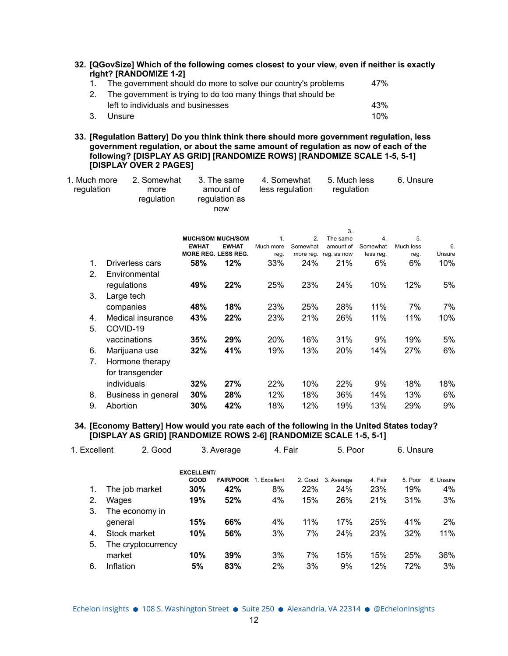**32. [QGovSize] Which of the following comes closest to your view, even if neither is exactly right? [RANDOMIZE 1-2]**

| 1. The government should do more to solve our country's problems | 47% |
|------------------------------------------------------------------|-----|
| 2. The government is trying to do too many things that should be |     |
| left to individuals and businesses                               | 43% |
| 3. Unsure                                                        | 10% |

**33. [Regulation Battery] Do you think think there should more government regulation, less government regulation, or about the same amount of regulation as now of each of the following? [DISPLAY AS GRID] [RANDOMIZE ROWS] [RANDOMIZE SCALE 1-5, 5-1] [DISPLAY OVER 2 PAGES]**

| 1. Much more<br>regulation | 2. Somewhat<br>more<br>regulation | 3. The same<br>amount of<br>regulation as<br>now | 4. Somewhat<br>less regulation | 5. Much less<br>regulation | 6. Unsure |
|----------------------------|-----------------------------------|--------------------------------------------------|--------------------------------|----------------------------|-----------|
|----------------------------|-----------------------------------|--------------------------------------------------|--------------------------------|----------------------------|-----------|

|                |                     |                  |                          |           |           | 3.          |           |           |        |
|----------------|---------------------|------------------|--------------------------|-----------|-----------|-------------|-----------|-----------|--------|
|                |                     |                  | <b>MUCH/SOM MUCH/SOM</b> | 1.        | 2.        | The same    | 4.        | 5.        |        |
|                |                     | <b>EWHAT</b>     | <b>EWHAT</b>             | Much more | Somewhat  | amount of   | Somewhat  | Much less | 6.     |
|                |                     | <b>MORE REG.</b> | <b>LESS REG.</b>         | reg.      | more reg. | reg. as now | less reg. | reg.      | Unsure |
| 1.             | Driverless cars     | 58%              | 12%                      | 33%       | 24%       | 21%         | 6%        | 6%        | 10%    |
| 2 <sub>1</sub> | Environmental       |                  |                          |           |           |             |           |           |        |
|                | regulations         | 49%              | 22%                      | 25%       | 23%       | 24%         | 10%       | 12%       | 5%     |
| 3.             | Large tech          |                  |                          |           |           |             |           |           |        |
|                | companies           | 48%              | 18%                      | 23%       | 25%       | 28%         | 11%       | 7%        | 7%     |
| 4.             | Medical insurance   | 43%              | 22%                      | 23%       | 21%       | 26%         | 11%       | 11%       | 10%    |
| 5.             | COVID-19            |                  |                          |           |           |             |           |           |        |
|                | vaccinations        | 35%              | 29%                      | 20%       | 16%       | 31%         | 9%        | 19%       | 5%     |
| 6.             | Marijuana use       | 32%              | 41%                      | 19%       | 13%       | 20%         | 14%       | 27%       | 6%     |
| 7.             | Hormone therapy     |                  |                          |           |           |             |           |           |        |
|                | for transgender     |                  |                          |           |           |             |           |           |        |
|                | individuals         | 32%              | 27%                      | 22%       | 10%       | 22%         | 9%        | 18%       | 18%    |
| 8.             | Business in general | 30%              | 28%                      | 12%       | 18%       | 36%         | 14%       | 13%       | 6%     |
| 9.             | Abortion            | 30%              | 42%                      | 18%       | 12%       | 19%         | 13%       | 29%       | 9%     |

#### **34. [Economy Battery] How would you rate each of the following in the United States today? [DISPLAY AS GRID] [RANDOMIZE ROWS 2-6] [RANDOMIZE SCALE 1-5, 5-1]**

| 1. Excellent | 2. Good            |                   | 3. Average       | 4. Fair      |         | 5. Poor    |         | 6. Unsure |           |
|--------------|--------------------|-------------------|------------------|--------------|---------|------------|---------|-----------|-----------|
|              |                    | <b>EXCELLENT/</b> |                  |              |         |            |         |           |           |
|              |                    | GOOD              | <b>FAIR/POOR</b> | 1. Excellent | 2. Good | 3. Average | 4. Fair | 5. Poor   | 6. Unsure |
| 1.           | The job market     | 30%               | 42%              | 8%           | 22%     | 24%        | 23%     | 19%       | 4%        |
| 2.           | Wages              | 19%               | 52%              | 4%           | 15%     | 26%        | 21%     | 31%       | 3%        |
| 3.           | The economy in     |                   |                  |              |         |            |         |           |           |
|              | qeneral            | 15%               | 66%              | 4%           | 11%     | 17%        | 25%     | 41%       | 2%        |
| 4.           | Stock market       | 10%               | 56%              | 3%           | 7%      | 24%        | 23%     | 32%       | 11%       |
| 5.           | The cryptocurrency |                   |                  |              |         |            |         |           |           |
|              | market             | 10%               | 39%              | 3%           | 7%      | 15%        | 15%     | 25%       | 36%       |
| 6.           | Inflation          | 5%                | 83%              | 2%           | 3%      | 9%         | 12%     | 72%       | 3%        |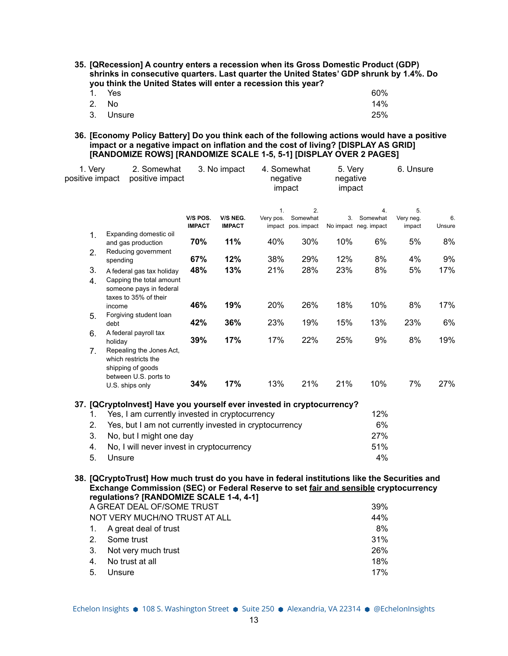**35. [QRecession] A country enters a recession when its Gross Domestic Product (GDP) shrinks in consecutive quarters. Last quarter the United States' GDP shrunk by 1.4%. Do you think the United States will enter a recession this year?**

| 1. Yes    | 60% |
|-----------|-----|
| 2. No     | 14% |
| 3. Unsure | 25% |

**36. [Economy Policy Battery] Do you think each of the following actions would have a positive impact or a negative impact on inflation and the cost of living? [DISPLAY AS GRID] [RANDOMIZE ROWS] [RANDOMIZE SCALE 1-5, 5-1] [DISPLAY OVER 2 PAGES]**

| 1. Very<br>positive impact | 2. Somewhat<br>positive impact                                                                                                       |               | 3. No impact  |                 | 4. Somewhat<br>negative<br>impact |     | 5. Very<br>negative<br>impact | 6. Unsure       |        |  |
|----------------------------|--------------------------------------------------------------------------------------------------------------------------------------|---------------|---------------|-----------------|-----------------------------------|-----|-------------------------------|-----------------|--------|--|
|                            |                                                                                                                                      | V/S POS.      | V/S NEG.      | 1.<br>Very pos. | 2.<br>Somewhat                    | 3.  | 4.<br>Somewhat                | 5.<br>Very neg. | 6.     |  |
|                            | Expanding domestic oil                                                                                                               | <b>IMPACT</b> | <b>IMPACT</b> |                 | impact pos. impact                |     | No impact neg. impact         | impact          | Unsure |  |
| $\mathbf{1}$ .             | and gas production                                                                                                                   | 70%           | 11%           | 40%             | 30%                               | 10% | 6%                            | 5%              | 8%     |  |
| 2.                         | Reducing government                                                                                                                  |               |               |                 |                                   |     |                               |                 |        |  |
|                            | spending                                                                                                                             | 67%           | 12%           | 38%             | 29%                               | 12% | 8%                            | 4%              | 9%     |  |
| 3.<br>4.                   | A federal gas tax holiday<br>Capping the total amount                                                                                | 48%           | 13%           | 21%             | 28%                               | 23% | 8%                            | 5%              | 17%    |  |
|                            | someone pays in federal                                                                                                              |               |               |                 |                                   |     |                               |                 |        |  |
|                            | taxes to 35% of their<br>income                                                                                                      | 46%           | 19%           | 20%             | 26%                               | 18% | 10%                           | 8%              | 17%    |  |
| 5.                         | Forgiving student loan                                                                                                               |               |               |                 |                                   |     |                               |                 |        |  |
|                            | debt                                                                                                                                 | 42%           | 36%           | 23%             | 19%                               | 15% | 13%                           | 23%             | 6%     |  |
| 6.                         | A federal payroll tax<br>holiday                                                                                                     | 39%           | 17%           | 17%             | 22%                               | 25% | 9%                            | 8%              | 19%    |  |
| 7.                         | Repealing the Jones Act,                                                                                                             |               |               |                 |                                   |     |                               |                 |        |  |
|                            | which restricts the                                                                                                                  |               |               |                 |                                   |     |                               |                 |        |  |
|                            | shipping of goods                                                                                                                    |               |               |                 |                                   |     |                               |                 |        |  |
|                            | between U.S. ports to<br>U.S. ships only                                                                                             | 34%           | 17%           | 13%             | 21%                               | 21% | 10%                           | 7%              | 27%    |  |
|                            |                                                                                                                                      |               |               |                 |                                   |     |                               |                 |        |  |
|                            | 37. [QCryptoInvest] Have you yourself ever invested in cryptocurrency?                                                               |               |               |                 |                                   |     |                               |                 |        |  |
| 1.                         | Yes, I am currently invested in cryptocurrency                                                                                       |               |               |                 |                                   |     | 12%                           |                 |        |  |
| 2.                         | Yes, but I am not currently invested in cryptocurrency                                                                               |               |               |                 |                                   |     | 6%                            |                 |        |  |
| 3.                         | No, but I might one day                                                                                                              |               |               |                 |                                   |     | 27%                           |                 |        |  |
| 4.                         | No, I will never invest in cryptocurrency                                                                                            |               |               |                 |                                   |     | 51%                           |                 |        |  |
| 5.                         | Unsure                                                                                                                               |               |               |                 |                                   |     | 4%                            |                 |        |  |
|                            |                                                                                                                                      |               |               |                 |                                   |     |                               |                 |        |  |
|                            | 38. [QCryptoTrust] How much trust do you have in federal institutions like the Securities and                                        |               |               |                 |                                   |     |                               |                 |        |  |
|                            | Exchange Commission (SEC) or Federal Reserve to set fair and sensible cryptocurrency<br><b>requisions? [RANDOMIZE SCALE 1-4 4-1]</b> |               |               |                 |                                   |     |                               |                 |        |  |

|                               | <b>Example 1</b> Formal Control Concert 1-4, 4-11 |     |  |  |
|-------------------------------|---------------------------------------------------|-----|--|--|
| A GREAT DEAL OF/SOME TRUST    | 39%                                               |     |  |  |
| NOT VERY MUCH/NO TRUST AT ALL | 44%                                               |     |  |  |
|                               | 1. A great deal of trust                          | 8%  |  |  |
|                               | 2. Some trust                                     | 31% |  |  |
|                               | 3. Not very much trust                            | 26% |  |  |
| 4.                            | No trust at all                                   | 18% |  |  |
| 5.                            | Unsure                                            | 17% |  |  |
|                               |                                                   |     |  |  |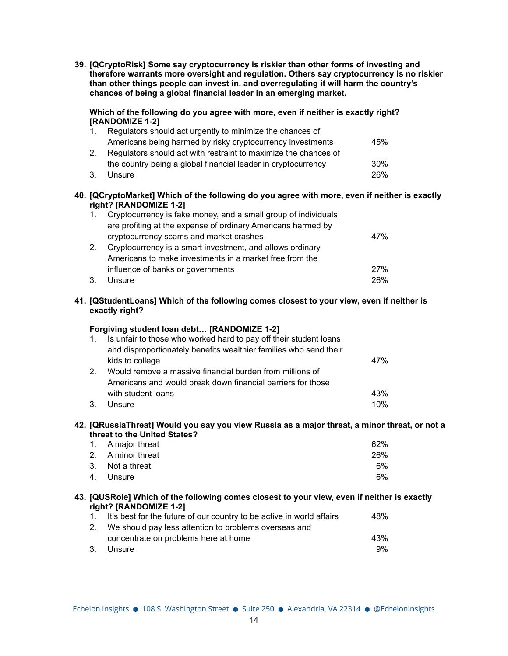**39. [QCryptoRisk] Some say cryptocurrency is riskier than other forms of investing and therefore warrants more oversight and regulation. Others say cryptocurrency is no riskier than other things people can invest in, and overregulating it will harm the country's chances of being a global financial leader in an emerging market.**

#### **Which of the following do you agree with more, even if neither is exactly right? [RANDOMIZE 1-2]**

| $1_{-}$        | Regulators should act urgently to minimize the chances of       |     |
|----------------|-----------------------------------------------------------------|-----|
|                | Americans being harmed by risky cryptocurrency investments      | 45% |
| 2 <sup>1</sup> | Regulators should act with restraint to maximize the chances of |     |
|                | the country being a global financial leader in cryptocurrency   | 30% |
| 3.             | Unsure                                                          | 26% |

**40. [QCryptoMarket] Which of the following do you agree with more, even if neither is exactly right? [RANDOMIZE 1-2]**

| $1_{-}$ | Cryptocurrency is fake money, and a small group of individuals |     |
|---------|----------------------------------------------------------------|-----|
|         | are profiting at the expense of ordinary Americans harmed by   |     |
|         | cryptocurrency scams and market crashes                        | 47% |
| 2.      | Cryptocurrency is a smart investment, and allows ordinary      |     |
|         | Americans to make investments in a market free from the        |     |
|         | influence of banks or governments                              | 27% |
| 3.      | Unsure                                                         | 26% |

## **41. [QStudentLoans] Which of the following comes closest to your view, even if neither is exactly right?**

## **Forgiving student loan debt… [RANDOMIZE 1-2]**

| $\mathbf{1}$ . | Is unfair to those who worked hard to pay off their student loans |     |
|----------------|-------------------------------------------------------------------|-----|
|                | and disproportionately benefits wealthier families who send their |     |
|                | kids to college                                                   | 47% |
| 2 <sub>1</sub> | Would remove a massive financial burden from millions of          |     |
|                | Americans and would break down financial barriers for those       |     |
|                | with student loans                                                | 43% |
| 3.             | Unsure                                                            | 10% |

#### **42. [QRussiaThreat] Would you say you view Russia as a major threat, a minor threat, or not a threat to the United States?**

| 1. A major threat | 62% |
|-------------------|-----|
| 2. A minor threat | 26% |
| 3. Not a threat   | 6%  |
| 4. Unsure         | 6%  |

#### **43. [QUSRole] Which of the following comes closest to your view, even if neither is exactly right? [RANDOMIZE 1-2]**

|    | 1. It's best for the future of our country to be active in world affairs | 48% |
|----|--------------------------------------------------------------------------|-----|
|    | 2. We should pay less attention to problems overseas and                 |     |
|    | concentrate on problems here at home                                     | 43% |
| 3. | Unsure                                                                   | 9%  |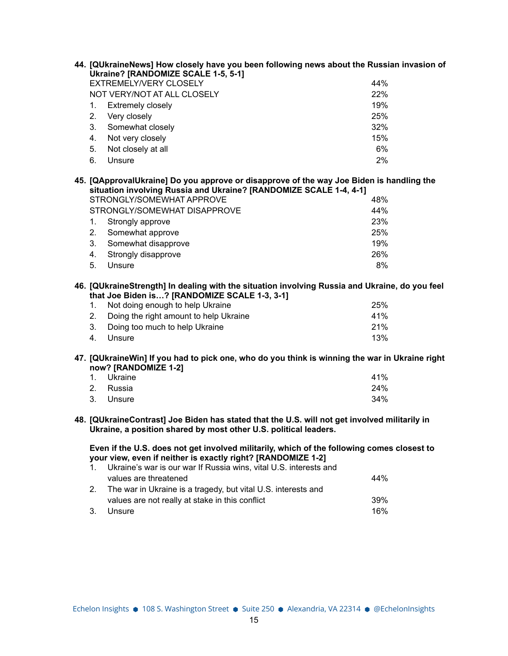| 44. [QUkraineNews] How closely have you been following news about the Russian invasion of<br>Ukraine? [RANDOMIZE SCALE 1-5, 5-1]                                                                                                      |     |
|---------------------------------------------------------------------------------------------------------------------------------------------------------------------------------------------------------------------------------------|-----|
| EXTREMELY/VERY CLOSELY                                                                                                                                                                                                                | 44% |
| NOT VERY/NOT AT ALL CLOSELY                                                                                                                                                                                                           | 22% |
| 1.<br><b>Extremely closely</b>                                                                                                                                                                                                        | 19% |
| 2.<br>Very closely                                                                                                                                                                                                                    | 25% |
| 3.<br>Somewhat closely                                                                                                                                                                                                                | 32% |
| Not very closely<br>4.                                                                                                                                                                                                                | 15% |
| 5.<br>Not closely at all                                                                                                                                                                                                              | 6%  |
| Unsure<br>6.                                                                                                                                                                                                                          | 2%  |
| 45. [QApprovalUkraine] Do you approve or disapprove of the way Joe Biden is handling the<br>situation involving Russia and Ukraine? [RANDOMIZE SCALE 1-4, 4-1]                                                                        |     |
| STRONGLY/SOMEWHAT APPROVE                                                                                                                                                                                                             | 48% |
| STRONGLY/SOMEWHAT DISAPPROVE                                                                                                                                                                                                          | 44% |
| 1.<br>Strongly approve                                                                                                                                                                                                                | 23% |
| 2.<br>Somewhat approve                                                                                                                                                                                                                | 25% |
| 3.<br>Somewhat disapprove                                                                                                                                                                                                             | 19% |
| 4.<br>Strongly disapprove                                                                                                                                                                                                             | 26% |
| 5.<br>Unsure                                                                                                                                                                                                                          | 8%  |
| 46. [QUkraineStrength] In dealing with the situation involving Russia and Ukraine, do you feel<br>that Joe Biden is? [RANDOMIZE SCALE 1-3, 3-1]                                                                                       |     |
| Not doing enough to help Ukraine<br>1.                                                                                                                                                                                                | 25% |
| Doing the right amount to help Ukraine<br>2.                                                                                                                                                                                          | 41% |
| 3.<br>Doing too much to help Ukraine                                                                                                                                                                                                  | 21% |
| Unsure<br>4.                                                                                                                                                                                                                          | 13% |
| 47. [QUkraineWin] If you had to pick one, who do you think is winning the war in Ukraine right<br>now? [RANDOMIZE 1-2]                                                                                                                |     |
| Ukraine<br>1.                                                                                                                                                                                                                         | 41% |
| 2.<br>Russia                                                                                                                                                                                                                          | 24% |
| 3.<br>Unsure                                                                                                                                                                                                                          | 34% |
| 48. [QUkraineContrast] Joe Biden has stated that the U.S. will not get involved militarily in<br>Ukraine, a position shared by most other U.S. political leaders.                                                                     |     |
| Even if the U.S. does not get involved militarily, which of the following comes closest to<br>your view, even if neither is exactly right? [RANDOMIZE 1-2]<br>Ukraine's war is our war If Russia wins, vital U.S. interests and<br>1. |     |
| values are threatened                                                                                                                                                                                                                 | 44% |
| 2.<br>The war in Ukraine is a tragedy, but vital U.S. interests and                                                                                                                                                                   |     |
| values are not really at stake in this conflict                                                                                                                                                                                       | 39% |
| 3.<br>Unsure                                                                                                                                                                                                                          | 16% |
|                                                                                                                                                                                                                                       |     |
|                                                                                                                                                                                                                                       |     |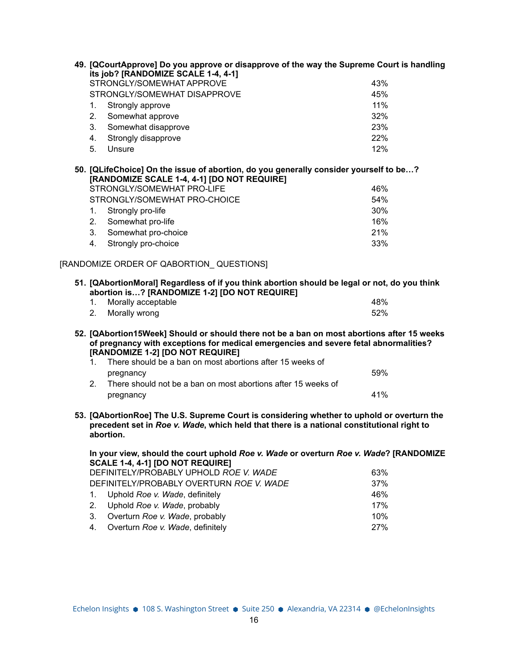|  |    | 49. [QCourtApprove] Do you approve or disapprove of the way the Supreme Court is handling<br>its job? [RANDOMIZE SCALE 1-4, 4-1]                                                                                                                                                    |     |
|--|----|-------------------------------------------------------------------------------------------------------------------------------------------------------------------------------------------------------------------------------------------------------------------------------------|-----|
|  |    | STRONGLY/SOMEWHAT APPROVE                                                                                                                                                                                                                                                           | 43% |
|  |    | STRONGLY/SOMEWHAT DISAPPROVE                                                                                                                                                                                                                                                        | 45% |
|  | 1. | Strongly approve                                                                                                                                                                                                                                                                    | 11% |
|  | 2. | Somewhat approve                                                                                                                                                                                                                                                                    | 32% |
|  | 3. | Somewhat disapprove                                                                                                                                                                                                                                                                 | 23% |
|  | 4. | Strongly disapprove                                                                                                                                                                                                                                                                 | 22% |
|  | 5. | Unsure                                                                                                                                                                                                                                                                              | 12% |
|  |    | 50. [QLifeChoice] On the issue of abortion, do you generally consider yourself to be?<br>[RANDOMIZE SCALE 1-4, 4-1] [DO NOT REQUIRE]                                                                                                                                                |     |
|  |    | STRONGLY/SOMEWHAT PRO-LIFE                                                                                                                                                                                                                                                          | 46% |
|  |    | STRONGLY/SOMEWHAT PRO-CHOICE                                                                                                                                                                                                                                                        | 54% |
|  | 1. | Strongly pro-life                                                                                                                                                                                                                                                                   | 30% |
|  | 2. | Somewhat pro-life                                                                                                                                                                                                                                                                   | 16% |
|  | 3. | Somewhat pro-choice                                                                                                                                                                                                                                                                 | 21% |
|  | 4. | Strongly pro-choice                                                                                                                                                                                                                                                                 | 33% |
|  |    | [RANDOMIZE ORDER OF QABORTION_ QUESTIONS]                                                                                                                                                                                                                                           |     |
|  |    | 51. [QAbortionMoral] Regardless of if you think abortion should be legal or not, do you think<br>abortion is? [RANDOMIZE 1-2] [DO NOT REQUIRE]                                                                                                                                      |     |
|  | 1. | Morally acceptable                                                                                                                                                                                                                                                                  | 48% |
|  | 2. | Morally wrong                                                                                                                                                                                                                                                                       | 52% |
|  | 1. | 52. [QAbortion15Week] Should or should there not be a ban on most abortions after 15 weeks<br>of pregnancy with exceptions for medical emergencies and severe fetal abnormalities?<br>[RANDOMIZE 1-2] [DO NOT REQUIRE]<br>There should be a ban on most abortions after 15 weeks of |     |
|  |    | pregnancy                                                                                                                                                                                                                                                                           | 59% |
|  | 2. | There should not be a ban on most abortions after 15 weeks of                                                                                                                                                                                                                       |     |
|  |    | pregnancy                                                                                                                                                                                                                                                                           | 41% |
|  |    | 53. [QAbortionRoe] The U.S. Supreme Court is considering whether to uphold or overturn the<br>precedent set in Roe v. Wade, which held that there is a national constitutional right to<br>abortion.                                                                                |     |
|  |    | In your view, should the court uphold Roe v. Wade or overturn Roe v. Wade? [RANDOMIZE<br>SCALE 1-4, 4-1] [DO NOT REQUIRE]                                                                                                                                                           |     |
|  |    | DEFINITELY/PROBABLY UPHOLD ROE V. WADE                                                                                                                                                                                                                                              | 63% |
|  |    | DEFINITELY/PROBABLY OVERTURN ROE V. WADE                                                                                                                                                                                                                                            | 37% |
|  | 1. | Uphold Roe v. Wade, definitely                                                                                                                                                                                                                                                      | 46% |
|  | 2. | Uphold Roe v. Wade, probably                                                                                                                                                                                                                                                        | 17% |
|  | 3. | Overturn Roe v. Wade, probably                                                                                                                                                                                                                                                      | 10% |
|  | 4. | Overturn Roe v. Wade, definitely                                                                                                                                                                                                                                                    | 27% |
|  |    |                                                                                                                                                                                                                                                                                     |     |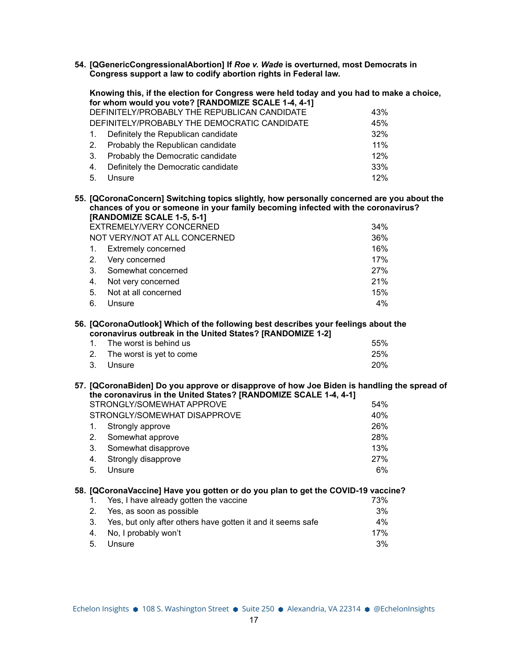**54. [QGenericCongressionalAbortion] If** *Roe v. Wade* **is overturned, most Democrats in Congress support a law to codify abortion rights in Federal law.**

|                                                                                                                                                  |             | Knowing this, if the election for Congress were held today and you had to make a choice,            |     |
|--------------------------------------------------------------------------------------------------------------------------------------------------|-------------|-----------------------------------------------------------------------------------------------------|-----|
|                                                                                                                                                  |             | for whom would you vote? [RANDOMIZE SCALE 1-4, 4-1]<br>DEFINITELY/PROBABLY THE REPUBLICAN CANDIDATE | 43% |
|                                                                                                                                                  |             | DEFINITELY/PROBABLY THE DEMOCRATIC CANDIDATE                                                        | 45% |
|                                                                                                                                                  | $1_{-}$     | Definitely the Republican candidate                                                                 | 32% |
|                                                                                                                                                  | 2.          | Probably the Republican candidate                                                                   | 11% |
|                                                                                                                                                  | 3.          | Probably the Democratic candidate                                                                   | 12% |
|                                                                                                                                                  | 4.          | Definitely the Democratic candidate                                                                 | 33% |
|                                                                                                                                                  | 5.          | Unsure                                                                                              | 12% |
|                                                                                                                                                  |             |                                                                                                     |     |
|                                                                                                                                                  |             | 55. [QCoronaConcern] Switching topics slightly, how personally concerned are you about the          |     |
|                                                                                                                                                  |             | chances of you or someone in your family becoming infected with the coronavirus?                    |     |
|                                                                                                                                                  |             | [RANDOMIZE SCALE 1-5, 5-1]                                                                          |     |
|                                                                                                                                                  |             | EXTREMELY/VERY CONCERNED                                                                            | 34% |
|                                                                                                                                                  |             | NOT VERY/NOT AT ALL CONCERNED                                                                       | 36% |
|                                                                                                                                                  | $1_{\cdot}$ | <b>Extremely concerned</b>                                                                          | 16% |
|                                                                                                                                                  | 2.          | Very concerned                                                                                      | 17% |
|                                                                                                                                                  | $3_{-}$     | Somewhat concerned                                                                                  | 27% |
|                                                                                                                                                  | 4.          | Not very concerned                                                                                  | 21% |
|                                                                                                                                                  | 5.          | Not at all concerned                                                                                | 15% |
|                                                                                                                                                  | 6.          | Unsure                                                                                              | 4%  |
| 56. [QCoronaOutlook] Which of the following best describes your feelings about the<br>coronavirus outbreak in the United States? [RANDOMIZE 1-2] |             |                                                                                                     |     |
|                                                                                                                                                  | $1_{-}$     | The worst is behind us                                                                              | 55% |
|                                                                                                                                                  | $2_{-}$     | The worst is yet to come                                                                            | 25% |
|                                                                                                                                                  | 3.          | Unsure                                                                                              | 20% |
|                                                                                                                                                  |             | 57. [QCoronaBiden] Do you approve or disapprove of how Joe Biden is handling the spread of          |     |

|    | the coronavirus in the United States? [RANDOMIZE SCALE 1-4, 4-1] |     |  |  |
|----|------------------------------------------------------------------|-----|--|--|
|    | STRONGLY/SOMEWHAT APPROVE                                        | 54% |  |  |
|    | STRONGLY/SOMEWHAT DISAPPROVE                                     | 40% |  |  |
|    | Strongly approve                                                 | 26% |  |  |
| 2. | Somewhat approve                                                 | 28% |  |  |
| 3. | Somewhat disapprove                                              | 13% |  |  |
| 4. | Strongly disapprove                                              | 27% |  |  |
| 5. | Unsure                                                           | 6%  |  |  |

## **58. [QCoronaVaccine] Have you gotten or do you plan to get the COVID-19 vaccine?** 1. Yes, I have already gotten the vaccine 2. Yes, as soon as possible 3%

| 3. Yes, but only after others have gotten it and it seems safe | 4%  |
|----------------------------------------------------------------|-----|
| 4. No, I probably won't                                        | 17% |
| 5. Unsure                                                      | 3%  |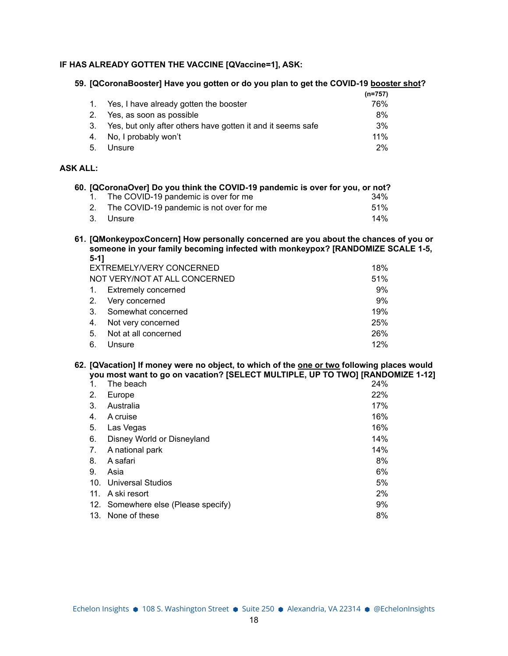## **IF HAS ALREADY GOTTEN THE VACCINE [QVaccine=1], ASK:**

#### **59. [QCoronaBooster] Have you gotten or do you plan to get the COVID-19 booster shot?**

|    |                                                                | (n=757) |
|----|----------------------------------------------------------------|---------|
|    | 1. Yes, I have already gotten the booster                      | 76%     |
|    | 2. Yes, as soon as possible                                    | 8%      |
|    | 3. Yes, but only after others have gotten it and it seems safe | 3%      |
|    | 4. No, I probably won't                                        | $11\%$  |
| 5. | Unsure                                                         | $2\%$   |

## **ASK ALL:**

|  | 60. [QCoronaOver] Do you think the COVID-19 pandemic is over for you, or not? |         |
|--|-------------------------------------------------------------------------------|---------|
|  | 1. The COVID-19 pandemic is over for me                                       | 34%     |
|  | The COVID-19 pandemic is not over for me                                      | $.51\%$ |
|  | 3. Unsure                                                                     | 14%     |

**61. [QMonkeypoxConcern] How personally concerned are you about the chances of you or someone in your family becoming infected with monkeypox? [RANDOMIZE SCALE 1-5, 5-1]**

| EXTREMELY/VERY CONCERNED |                               |     |  |  |
|--------------------------|-------------------------------|-----|--|--|
|                          | NOT VERY/NOT AT ALL CONCERNED | 51% |  |  |
| $1_{\cdot}$              | <b>Extremely concerned</b>    | 9%  |  |  |
|                          | 2. Very concerned             | 9%  |  |  |
| 3 <sub>1</sub>           | Somewhat concerned            | 19% |  |  |
| 4.                       | Not very concerned            | 25% |  |  |
| 5.                       | Not at all concerned          | 26% |  |  |
| 6.                       | Unsure                        | 12% |  |  |

#### **62. [QVacation] If money were no object, to which of the one or two following places would you most want to go on vacation? [SELECT MULTIPLE, UP TO TWO] [RANDOMIZE 1-12]**

| $\mathbf{1}$ .  | The beach                           | 24% |
|-----------------|-------------------------------------|-----|
| 2.              | Europe                              | 22% |
| 3.              | Australia                           | 17% |
| 4.              | A cruise                            | 16% |
| 5.              | Las Vegas                           | 16% |
| 6.              | Disney World or Disneyland          | 14% |
| 7.              | A national park                     | 14% |
| 8.              | A safari                            | 8%  |
| 9.              | Asia                                | 6%  |
| 10 <sub>1</sub> | <b>Universal Studios</b>            | 5%  |
| 11.             | A ski resort                        | 2%  |
|                 | 12. Somewhere else (Please specify) | 9%  |
| 13.             | None of these                       | 8%  |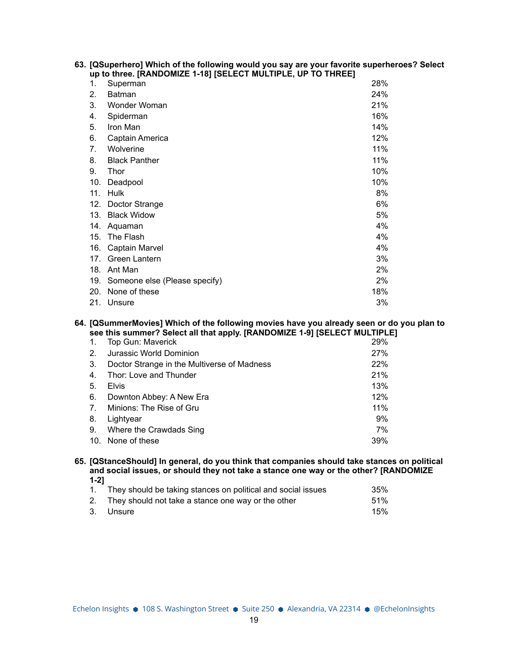|  |                                                              | 63. [QSuperhero] Which of the following would you say are your favorite superheroes? Select |
|--|--------------------------------------------------------------|---------------------------------------------------------------------------------------------|
|  | up to three. [RANDOMIZE 1-18] [SELECT MULTIPLE, UP TO THREE] |                                                                                             |

| 1.  | Superman                      | 28% |
|-----|-------------------------------|-----|
| 2.  | Batman                        | 24% |
| 3.  | Wonder Woman                  | 21% |
| 4.  | Spiderman                     | 16% |
| 5.  | Iron Man                      | 14% |
| 6.  | Captain America               | 12% |
| 7.  | Wolverine                     | 11% |
| 8.  | <b>Black Panther</b>          | 11% |
| 9.  | <b>Thor</b>                   | 10% |
| 10. | Deadpool                      | 10% |
| 11. | <b>Hulk</b>                   | 8%  |
| 12. | Doctor Strange                | 6%  |
| 13. | <b>Black Widow</b>            | 5%  |
| 14. | Aquaman                       | 4%  |
| 15. | The Flash                     | 4%  |
| 16. | Captain Marvel                | 4%  |
| 17. | Green Lantern                 | 3%  |
| 18. | Ant Man                       | 2%  |
| 19. | Someone else (Please specify) | 2%  |
| 20. | None of these                 | 18% |
| 21. | Unsure                        | 3%  |

#### **64. [QSummerMovies] Which of the following movies have you already seen or do you plan to see this summer? Select all that apply. [RANDOMIZE 1-9] [SELECT MULTIPLE]**

| 1.             | Top Gun: Maverick                           | 29% |
|----------------|---------------------------------------------|-----|
| 2 <sub>1</sub> | Jurassic World Dominion                     | 27% |
| 3.             | Doctor Strange in the Multiverse of Madness | 22% |
| 4.             | Thor: Love and Thunder                      | 21% |
| 5.             | <b>Elvis</b>                                | 13% |
| 6.             | Downton Abbey: A New Era                    | 12% |
| 7.             | Minions: The Rise of Gru                    | 11% |
| 8.             | Lightyear                                   | 9%  |
| 9.             | Where the Crawdads Sing                     | 7%  |
|                | 10. None of these                           | 39% |

**65. [QStanceShould] In general, do you think that companies should take stances on political and social issues, or should they not take a stance one way or the other? [RANDOMIZE 1-2]**

| 1. They should be taking stances on political and social issues | 35% |
|-----------------------------------------------------------------|-----|
| 2. They should not take a stance one way or the other           | 51% |
| 3. Unsure                                                       | 15% |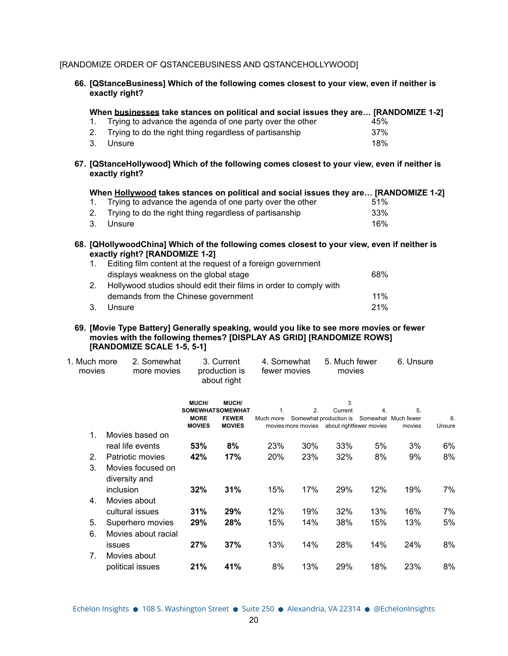# [RANDOMIZE ORDER OF QSTANCEBUSINESS AND QSTANCEHOLLYWOOD]

| 66. [QStanceBusiness] Which of the following comes closest to your view, even if neither is<br>exactly right? |        |                                                                                                                                                                                                                                       |                              |                                            |                             |     |                                                                                                    |     |           |              |
|---------------------------------------------------------------------------------------------------------------|--------|---------------------------------------------------------------------------------------------------------------------------------------------------------------------------------------------------------------------------------------|------------------------------|--------------------------------------------|-----------------------------|-----|----------------------------------------------------------------------------------------------------|-----|-----------|--------------|
|                                                                                                               | 1.     | When businesses take stances on political and social issues they are [RANDOMIZE 1-2]<br>Trying to advance the agenda of one party over the other                                                                                      |                              |                                            |                             |     |                                                                                                    | 45% |           |              |
|                                                                                                               | 2.     | Trying to do the right thing regardless of partisanship                                                                                                                                                                               |                              |                                            |                             |     |                                                                                                    | 37% |           |              |
|                                                                                                               | 3.     | Unsure                                                                                                                                                                                                                                |                              |                                            |                             |     |                                                                                                    | 18% |           |              |
|                                                                                                               |        | 67. [QStanceHollywood] Which of the following comes closest to your view, even if neither is<br>exactly right?                                                                                                                        |                              |                                            |                             |     |                                                                                                    |     |           |              |
|                                                                                                               | 1.     | When Hollywood takes stances on political and social issues they are [RANDOMIZE 1-2]<br>Trying to advance the agenda of one party over the other                                                                                      |                              |                                            |                             |     |                                                                                                    | 51% |           |              |
|                                                                                                               | 2.     | Trying to do the right thing regardless of partisanship                                                                                                                                                                               |                              |                                            |                             |     |                                                                                                    | 33% |           |              |
|                                                                                                               | 3.     | Unsure                                                                                                                                                                                                                                |                              |                                            |                             |     |                                                                                                    | 16% |           |              |
|                                                                                                               | 1.     | 68. [QHollywoodChina] Which of the following comes closest to your view, even if neither is<br>exactly right? [RANDOMIZE 1-2]<br>Editing film content at the request of a foreign government<br>displays weakness on the global stage |                              |                                            |                             |     |                                                                                                    | 68% |           |              |
|                                                                                                               | 2.     | Hollywood studios should edit their films in order to comply with                                                                                                                                                                     |                              |                                            |                             |     |                                                                                                    |     |           |              |
|                                                                                                               |        | demands from the Chinese government                                                                                                                                                                                                   |                              |                                            |                             |     |                                                                                                    | 11% |           |              |
|                                                                                                               | 3.     | Unsure                                                                                                                                                                                                                                |                              |                                            |                             |     |                                                                                                    | 21% |           |              |
| 1. Much more                                                                                                  | movies | 69. [Movie Type Battery] Generally speaking, would you like to see more movies or fewer<br>movies with the following themes? [DISPLAY AS GRID] [RANDOMIZE ROWS]<br>[RANDOMIZE SCALE 1-5, 5-1]<br>2. Somewhat<br>more movies           |                              | 3. Current<br>production is<br>about right | 4. Somewhat<br>fewer movies |     | 5. Much fewer<br>movies                                                                            |     | 6. Unsure |              |
|                                                                                                               |        |                                                                                                                                                                                                                                       | MUCH/                        | MUCH/                                      |                             |     | 3.                                                                                                 |     |           |              |
|                                                                                                               |        |                                                                                                                                                                                                                                       |                              | <b>SOMEWHATSOMEWHAT</b>                    | 1.                          | 2.  | Current                                                                                            | 4.  | 5.        |              |
|                                                                                                               |        |                                                                                                                                                                                                                                       | <b>MORE</b><br><b>MOVIES</b> | <b>FEWER</b><br><b>MOVIES</b>              |                             |     | Much more Somewhat production is Somewhat Much fewer<br>movies more movies about rightfewer movies |     | movies    | 6.<br>Unsure |
|                                                                                                               | 1.     | Movies based on                                                                                                                                                                                                                       |                              |                                            |                             |     |                                                                                                    |     |           |              |
|                                                                                                               |        | real life events                                                                                                                                                                                                                      | 53%                          | 8%                                         | 23%                         | 30% | 33%                                                                                                | 5%  | 3%        | 6%           |
|                                                                                                               | 2.     | Patriotic movies                                                                                                                                                                                                                      | 42%                          | 17%                                        | 20%                         | 23% | 32%                                                                                                | 8%  | 9%        | 8%           |
|                                                                                                               | 3.     | Movies focused on                                                                                                                                                                                                                     |                              |                                            |                             |     |                                                                                                    |     |           |              |
|                                                                                                               |        | diversity and                                                                                                                                                                                                                         |                              |                                            |                             |     |                                                                                                    |     |           |              |
|                                                                                                               |        | inclusion                                                                                                                                                                                                                             | 32%                          | 31%                                        | 15%                         | 17% | 29%                                                                                                | 12% | 19%       | 7%           |
|                                                                                                               | 4.     | Movies about                                                                                                                                                                                                                          |                              |                                            |                             |     |                                                                                                    |     |           |              |
|                                                                                                               |        | cultural issues                                                                                                                                                                                                                       | 31%                          | 29%                                        | 12%                         | 19% | 32%                                                                                                | 13% | 16%       | 7%           |
|                                                                                                               | 5.     | Superhero movies                                                                                                                                                                                                                      | 29%                          | 28%                                        | 15%                         | 14% | 38%                                                                                                | 15% | 13%       | 5%           |
|                                                                                                               | 6.     | Movies about racial                                                                                                                                                                                                                   |                              |                                            |                             |     |                                                                                                    |     |           |              |
|                                                                                                               |        | issues                                                                                                                                                                                                                                | 27%                          | 37%                                        | 13%                         | 14% | 28%                                                                                                | 14% | 24%       | 8%           |
|                                                                                                               | 7.     | Movies about                                                                                                                                                                                                                          |                              |                                            |                             |     |                                                                                                    |     |           |              |
|                                                                                                               |        | political issues                                                                                                                                                                                                                      | 21%                          | 41%                                        | 8%                          | 13% | 29%                                                                                                | 18% | 23%       | 8%           |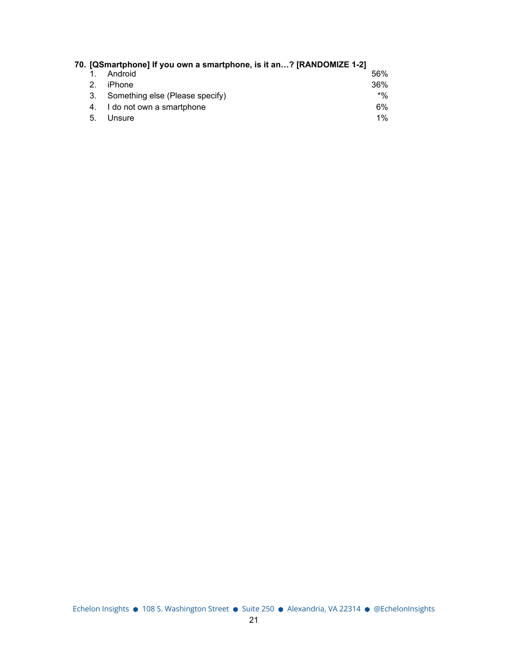| 70. [QSmartphone] If you own a smartphone, is it an? [RANDOMIZE 1-2] |                                 |       |  |  |  |
|----------------------------------------------------------------------|---------------------------------|-------|--|--|--|
|                                                                      | Android                         | 56%   |  |  |  |
| 2.                                                                   | iPhone                          | 36%   |  |  |  |
| 3.                                                                   | Something else (Please specify) | $*$ % |  |  |  |
|                                                                      | I do not own a smartphone       | 6%    |  |  |  |
| 5.                                                                   | Unsure                          | $1\%$ |  |  |  |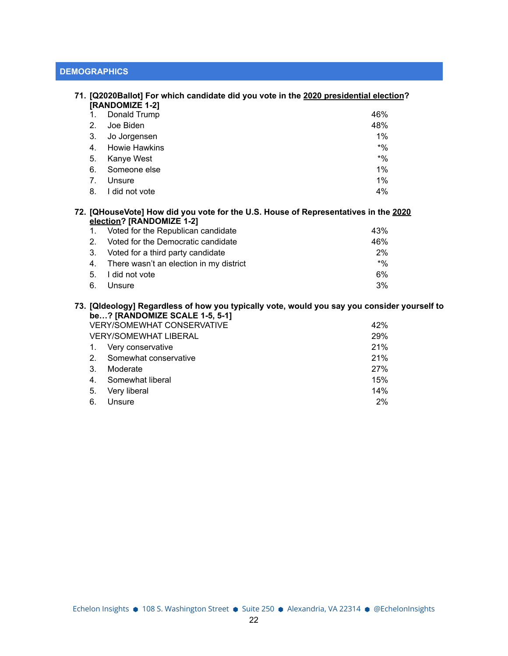# **DEMOGRAPHICS**

|                | 71. [Q2020Ballot] For which candidate did you vote in the 2020 presidential election?                                          |        |
|----------------|--------------------------------------------------------------------------------------------------------------------------------|--------|
|                | [RANDOMIZE 1-2]                                                                                                                |        |
| 1.             | Donald Trump                                                                                                                   | 46%    |
| 2 <sub>1</sub> | Joe Biden                                                                                                                      | 48%    |
| 3.             | Jo Jorgensen                                                                                                                   | $1\%$  |
| 4.             | <b>Howie Hawkins</b>                                                                                                           | $*9/0$ |
| 5.             | Kanye West                                                                                                                     | $*$ %  |
| 6.             | Someone else                                                                                                                   | 1%     |
| $7_{\cdot}$    | Unsure                                                                                                                         | 1%     |
| 8.             | I did not vote                                                                                                                 | 4%     |
|                | 72. [QHouseVote] How did you vote for the U.S. House of Representatives in the 2020<br>election? [RANDOMIZE 1-2]               |        |
| 1.             | Voted for the Republican candidate                                                                                             | 43%    |
| 2.             | Voted for the Democratic candidate                                                                                             | 46%    |
| 3.             | Voted for a third party candidate                                                                                              | 2%     |
| 4.             | There wasn't an election in my district                                                                                        | $*9/6$ |
| 5.             | I did not vote                                                                                                                 | 6%     |
| 6.             | Unsure                                                                                                                         | 3%     |
|                | 73. [Qideology] Regardiess of how you typically vote, would you say you consider yourself to<br>be? [RANDOMIZE SCALE 1-5, 5-1] |        |
|                | <b>VERY/SOMEWHAT CONSERVATIVE</b>                                                                                              | 42%    |
|                | <b>VERY/SOMEWHAT LIBERAL</b>                                                                                                   | 29%    |
| 1.             | Very conservative                                                                                                              | 21%    |
| 2 <sub>1</sub> | Somewhat conservative                                                                                                          | 21%    |
| 3.             | Moderate                                                                                                                       | 27%    |

4. Somewhat liberal 15% 5. Very liberal 14% 6. Unsure 2%

Echelon Insights ● 108 S. Washington Street ● Suite 250 ● Alexandria, VA 22314 ● @EchelonInsights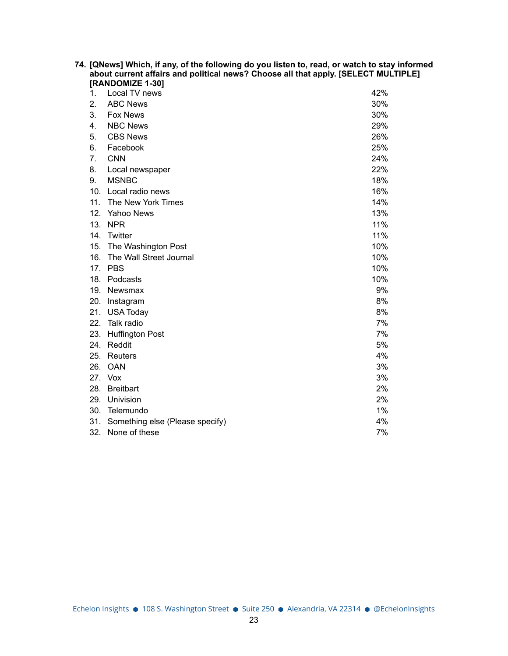| 74. [QNews] Which, if any, of the following do you listen to, read, or watch to stay informed<br>about current affairs and political news? Choose all that apply. [SELECT MULTIPLE]<br>[RANDOMIZE 1-30] |                                     |     |  |  |  |
|---------------------------------------------------------------------------------------------------------------------------------------------------------------------------------------------------------|-------------------------------------|-----|--|--|--|
| 1.                                                                                                                                                                                                      | Local TV news                       | 42% |  |  |  |
| 2.                                                                                                                                                                                                      | <b>ABC News</b>                     | 30% |  |  |  |
| 3.                                                                                                                                                                                                      | <b>Fox News</b>                     | 30% |  |  |  |
| 4.                                                                                                                                                                                                      | <b>NBC News</b>                     | 29% |  |  |  |
| 5.                                                                                                                                                                                                      | <b>CBS News</b>                     | 26% |  |  |  |
| 6.                                                                                                                                                                                                      | Facebook                            | 25% |  |  |  |
| 7.                                                                                                                                                                                                      | <b>CNN</b>                          | 24% |  |  |  |
| 8.                                                                                                                                                                                                      | Local newspaper                     | 22% |  |  |  |
| 9.                                                                                                                                                                                                      | <b>MSNBC</b>                        | 18% |  |  |  |
|                                                                                                                                                                                                         | 10. Local radio news                | 16% |  |  |  |
|                                                                                                                                                                                                         | 11. The New York Times              | 14% |  |  |  |
|                                                                                                                                                                                                         | 12. Yahoo News                      | 13% |  |  |  |
|                                                                                                                                                                                                         | 13. NPR                             | 11% |  |  |  |
|                                                                                                                                                                                                         | 14. Twitter                         | 11% |  |  |  |
| 15.                                                                                                                                                                                                     | The Washington Post                 | 10% |  |  |  |
| 16.                                                                                                                                                                                                     | The Wall Street Journal             | 10% |  |  |  |
|                                                                                                                                                                                                         | 17. PBS                             | 10% |  |  |  |
|                                                                                                                                                                                                         | 18. Podcasts                        | 10% |  |  |  |
|                                                                                                                                                                                                         | 19. Newsmax                         | 9%  |  |  |  |
|                                                                                                                                                                                                         | 20. Instagram                       | 8%  |  |  |  |
|                                                                                                                                                                                                         | 21. USA Today                       | 8%  |  |  |  |
| 22.                                                                                                                                                                                                     | Talk radio                          | 7%  |  |  |  |
| 23.                                                                                                                                                                                                     | <b>Huffington Post</b>              | 7%  |  |  |  |
|                                                                                                                                                                                                         | 24. Reddit                          | 5%  |  |  |  |
|                                                                                                                                                                                                         | 25. Reuters                         | 4%  |  |  |  |
|                                                                                                                                                                                                         | 26. OAN                             | 3%  |  |  |  |
|                                                                                                                                                                                                         | 27. Vox                             | 3%  |  |  |  |
|                                                                                                                                                                                                         | 28. Breitbart                       | 2%  |  |  |  |
|                                                                                                                                                                                                         | 29. Univision                       | 2%  |  |  |  |
|                                                                                                                                                                                                         | 30. Telemundo                       | 1%  |  |  |  |
|                                                                                                                                                                                                         | 31. Something else (Please specify) | 4%  |  |  |  |
|                                                                                                                                                                                                         | 32. None of these                   | 7%  |  |  |  |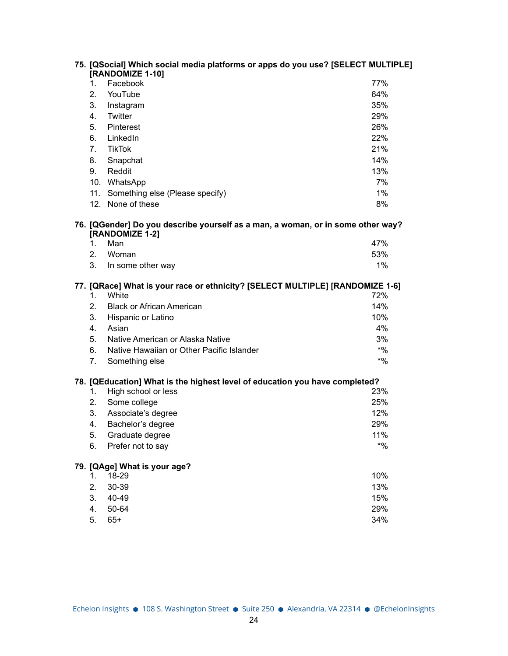|                | 75. [QSocial] Which social media platforms or apps do you use? [SELECT MULTIPLE]<br>[RANDOMIZE 1-10] |        |
|----------------|------------------------------------------------------------------------------------------------------|--------|
| 1.             | Facebook                                                                                             | 77%    |
| 2.             | YouTube                                                                                              | 64%    |
| 3.             | Instagram                                                                                            | 35%    |
| 4.             | Twitter                                                                                              | 29%    |
| 5.             | Pinterest                                                                                            | 26%    |
| 6.             | LinkedIn                                                                                             | 22%    |
| 7 <sub>1</sub> | <b>TikTok</b>                                                                                        | 21%    |
| 8.             | Snapchat                                                                                             | 14%    |
| 9.             | Reddit                                                                                               | 13%    |
|                | 10. WhatsApp                                                                                         | 7%     |
|                | 11. Something else (Please specify)                                                                  | 1%     |
|                | 12. None of these                                                                                    | 8%     |
|                | 76. [QGender] Do you describe yourself as a man, a woman, or in some other way?<br>[RANDOMIZE 1-2]   |        |
| 1.             | Man                                                                                                  | 47%    |
| 2.             | Woman                                                                                                | 53%    |
| 3.             | In some other way                                                                                    | 1%     |
| 1.             | 77. [QRace] What is your race or ethnicity? [SELECT MULTIPLE] [RANDOMIZE 1-6]<br>White               | 72%    |
| 2.             | <b>Black or African American</b>                                                                     | 14%    |
| 3.             | Hispanic or Latino                                                                                   | 10%    |
| 4.             | Asian                                                                                                | 4%     |
| 5.             | Native American or Alaska Native                                                                     | 3%     |
| 6.             | Native Hawaiian or Other Pacific Islander                                                            | $*9/6$ |
| 7.             | Something else                                                                                       | $*9/6$ |
|                | 78. [QEducation] What is the highest level of education you have completed?                          |        |
| 1.             | High school or less                                                                                  | 23%    |
| 2.             | Some college                                                                                         | 25%    |
| 3.             | Associate's degree                                                                                   | 12%    |
| 4.             | Bachelor's degree                                                                                    | 29%    |
| 5.             | Graduate degree                                                                                      | 11%    |
| 6.             | Prefer not to say                                                                                    | $*9/0$ |
|                | 79. [QAge] What is your age?                                                                         |        |
| 1.             | 18-29                                                                                                | 10%    |
| 2.             | 30-39                                                                                                | 13%    |
| 3.             | 40-49                                                                                                | 15%    |
| 4.             | 50-64                                                                                                | 29%    |
| 5.             | $65+$                                                                                                | 34%    |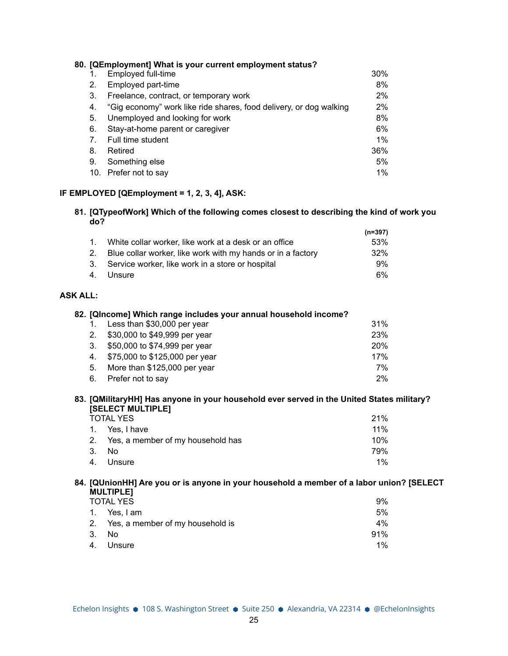| 80. [QEmployment] What is your current employment status? |                                                                    |       |  |
|-----------------------------------------------------------|--------------------------------------------------------------------|-------|--|
|                                                           | Employed full-time                                                 | 30%   |  |
| 2.                                                        | Employed part-time                                                 | 8%    |  |
| 3.                                                        | Freelance, contract, or temporary work                             | 2%    |  |
| 4.                                                        | "Gig economy" work like ride shares, food delivery, or dog walking | 2%    |  |
| 5.                                                        | Unemployed and looking for work                                    | 8%    |  |
| 6.                                                        | Stay-at-home parent or caregiver                                   | 6%    |  |
| 7.                                                        | Full time student                                                  | $1\%$ |  |
| 8.                                                        | Retired                                                            | 36%   |  |
| 9.                                                        | Something else                                                     | 5%    |  |
| 10.                                                       | Prefer not to say                                                  | $1\%$ |  |

#### **IF EMPLOYED [QEmployment = 1, 2, 3, 4], ASK:**

#### **81. [QTypeofWork] Which of the following comes closest to describing the kind of work you do?**

|                                                                | $(n=397)$ |
|----------------------------------------------------------------|-----------|
| 1. White collar worker, like work at a desk or an office       | 53%       |
| 2. Blue collar worker, like work with my hands or in a factory | 32%       |
| 3. Service worker, like work in a store or hospital            | 9%        |
| 4. Unsure                                                      | 6%        |

## **ASK ALL:**

| 82. [QIncome] Which range includes your annual household income? |                                   |     |  |  |
|------------------------------------------------------------------|-----------------------------------|-----|--|--|
|                                                                  | Less than \$30,000 per year       | 31% |  |  |
|                                                                  | 2. \$30,000 to \$49,999 per year  | 23% |  |  |
| 3.                                                               | \$50,000 to \$74,999 per year     | 20% |  |  |
|                                                                  | 4. \$75,000 to \$125,000 per year | 17% |  |  |
| 5.                                                               | More than \$125,000 per year      | 7%  |  |  |
| 6.                                                               | Prefer not to say                 | 2%  |  |  |

## **83. [QMilitaryHH] Has anyone in your household ever served in the United States military? [SELECT MULTIPLE]**

| <b>TOTAL YES</b> |                                      | 21%    |
|------------------|--------------------------------------|--------|
|                  | 1. Yes, I have                       | $11\%$ |
|                  | 2. Yes, a member of my household has | 10%    |
| 3. No.           |                                      | 79%    |
|                  | 4. Unsure                            | $1\%$  |

## **84. [QUnionHH] Are you or is anyone in your household a member of a labor union? [SELECT MULTIPLE]**

| <b>TOTAL YES</b> |                                     |       |
|------------------|-------------------------------------|-------|
|                  | 1. Yes, I am                        | 5%    |
|                  | 2. Yes, a member of my household is | 4%    |
|                  | 3. No                               | 91%   |
|                  | 4. Unsure                           | $1\%$ |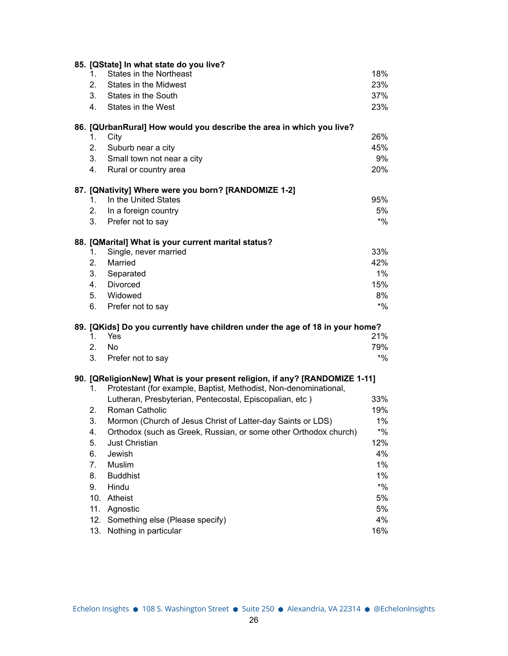|            | 85. [QState] In what state do you live?                                      |              |
|------------|------------------------------------------------------------------------------|--------------|
| 1.         | <b>States in the Northeast</b>                                               | 18%          |
| 2.         | States in the Midwest                                                        | 23%          |
| 3.         | States in the South                                                          | 37%          |
| 4.         | States in the West                                                           | 23%          |
|            | 86. [QUrbanRural] How would you describe the area in which you live?         |              |
| 1.         | City                                                                         | 26%          |
| 2.         | Suburb near a city                                                           | 45%          |
| 3.         | Small town not near a city                                                   | 9%           |
| 4.         | Rural or country area                                                        | 20%          |
|            | 87. [QNativity] Where were you born? [RANDOMIZE 1-2]                         |              |
| 1.         | In the United States                                                         | 95%          |
| 2.         | In a foreign country                                                         | 5%           |
| 3.         | Prefer not to say                                                            | $^{\star}$ % |
|            | 88. [QMarital] What is your current marital status?                          |              |
| 1.         | Single, never married                                                        | 33%          |
| 2.         | Married                                                                      | 42%          |
| 3.         | Separated                                                                    | $1\%$        |
| 4.         | Divorced                                                                     | 15%          |
| 5.         | Widowed                                                                      | 8%           |
| 6.         | Prefer not to say                                                            | $*9/0$       |
|            | 89. [QKids] Do you currently have children under the age of 18 in your home? |              |
| 1.         | Yes                                                                          | 21%          |
| 2.         | <b>No</b>                                                                    | 79%          |
| 3.         | Prefer not to say                                                            | $^{\star}$ % |
|            | 90. [QReligionNew] What is your present religion, if any? [RANDOMIZE 1-11]   |              |
| 1.         | Protestant (for example, Baptist, Methodist, Non-denominational,             |              |
|            | Lutheran, Presbyterian, Pentecostal, Episcopalian, etc)                      | 33%          |
| 2.         | Roman Catholic                                                               | 19%          |
| 3.         | Mormon (Church of Jesus Christ of Latter-day Saints or LDS)                  | 1%           |
| 4.         | Orthodox (such as Greek, Russian, or some other Orthodox church)             | $*9/0$       |
| 5.         | Just Christian                                                               | 12%          |
| 6.         | Jewish                                                                       | 4%           |
| 7.         | Muslim                                                                       | $1\%$        |
| 8.         | <b>Buddhist</b>                                                              | $1\%$        |
| 9.         | Hindu                                                                        | $*$ %        |
| 10.        | Atheist                                                                      | 5%           |
| 11.        | Agnostic                                                                     | 5%           |
| 12.<br>13. | Something else (Please specify)<br>Nothing in particular                     | 4%<br>16%    |
|            |                                                                              |              |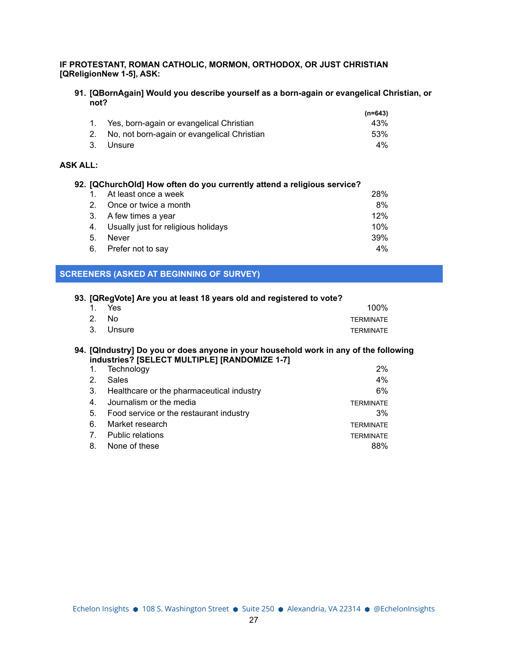## **IF PROTESTANT, ROMAN CATHOLIC, MORMON, ORTHODOX, OR JUST CHRISTIAN [QReligionNew 1-5], ASK:**

#### **91. [QBornAgain] Would you describe yourself as a born-again or evangelical Christian, or not?**

|                                                | $(n=643)$ |
|------------------------------------------------|-----------|
| 1. Yes, born-again or evangelical Christian    | 43%       |
| 2. No, not born-again or evangelical Christian | .53%      |
| 3. Unsure                                      | 4%        |

# **ASK ALL:**

| 92. [QChurchOld] How often do you currently attend a religious service? |                                     |     |
|-------------------------------------------------------------------------|-------------------------------------|-----|
|                                                                         | At least once a week                | 28% |
|                                                                         | Once or twice a month               | 8%  |
| 3.                                                                      | A few times a year                  | 12% |
| 4.                                                                      | Usually just for religious holidays | 10% |
| 5.                                                                      | Never                               | 39% |
| 6.                                                                      | Prefer not to say                   | 4%  |

# **SCREENERS (ASKED AT BEGINNING OF SURVEY)**

| 93. [QRegVote] Are you at least 18 years old and registered to vote? |                 |           |                  |
|----------------------------------------------------------------------|-----------------|-----------|------------------|
|                                                                      |                 | 1. Yes    | $100\%$          |
|                                                                      | 2N <sub>0</sub> |           | <b>TFRMINATF</b> |
|                                                                      |                 | 3. Unsure | <b>TFRMINATF</b> |

#### **94. [QIndustry] Do you or does anyone in your household work in any of the following industries? [SELECT MULTIPLE] [RANDOMIZE 1-7]**

| 1.             | Technology                                   | $2\%$            |
|----------------|----------------------------------------------|------------------|
| 2 <sub>1</sub> | Sales                                        | $4\%$            |
|                | 3. Healthcare or the pharmaceutical industry | 6%               |
| 4.             | Journalism or the media                      | <b>TERMINATE</b> |
|                | 5. Food service or the restaurant industry   | 3%               |
| 6.             | Market research                              | <b>TERMINATE</b> |
| $7_{\circ}$    | <b>Public relations</b>                      | <b>TERMINATE</b> |
| 8.             | None of these                                | 88%              |